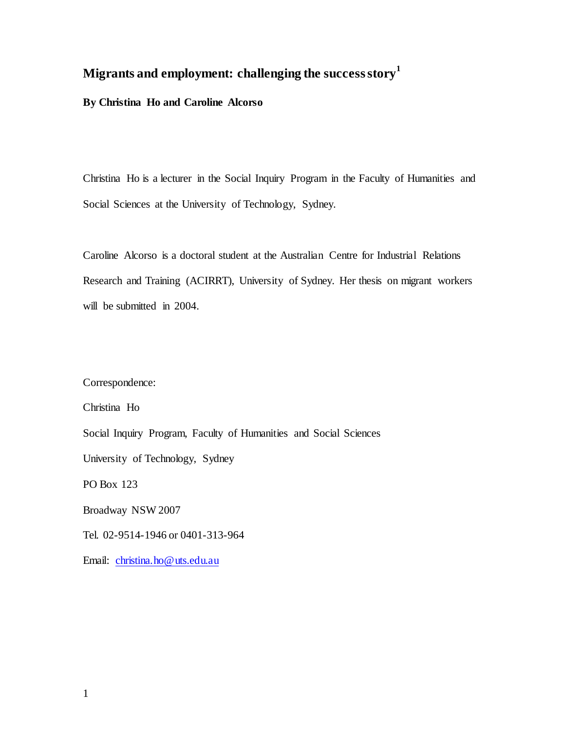# **Migrants and employment: challenging the success story[1](#page-43-0)**

**By Christina Ho and Caroline Alcorso**

Christina Ho is a lecturer in the Social Inquiry Program in the Faculty of Humanities and Social Sciences at the University of Technology, Sydney.

Caroline Alcorso is a doctoral student at the Australian Centre for Industrial Relations Research and Training (ACIRRT), University of Sydney. Her thesis on migrant workers will be submitted in 2004.

Correspondence:

Christina Ho

Social Inquiry Program, Faculty of Humanities and Social Sciences

University of Technology, Sydney

PO Box 123

Broadway NSW 2007

Tel. 02-9514-1946 or 0401-313-964

Email: [christina.ho@uts.edu.au](mailto:christina.ho@uts.edu.au)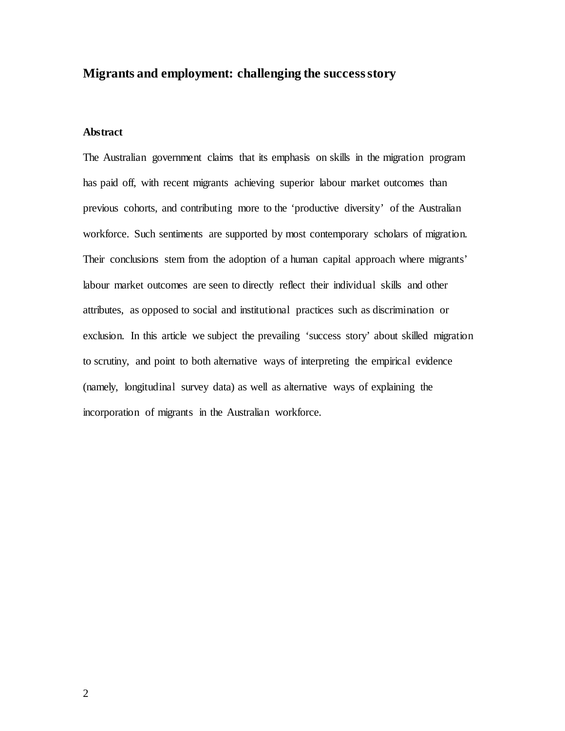## **Migrants and employment: challenging the success story**

## **Abstract**

The Australian government claims that its emphasis on skills in the migration program has paid off, with recent migrants achieving superior labour market outcomes than previous cohorts, and contributing more to the 'productive diversity' of the Australian workforce. Such sentiments are supported by most contemporary scholars of migration. Their conclusions stem from the adoption of a human capital approach where migrants' labour market outcomes are seen to directly reflect their individual skills and other attributes, as opposed to social and institutional practices such as discrimination or exclusion. In this article we subject the prevailing 'success story' about skilled migration to scrutiny, and point to both alternative ways of interpreting the empirical evidence (namely, longitudinal survey data) as well as alternative ways of explaining the incorporation of migrants in the Australian workforce.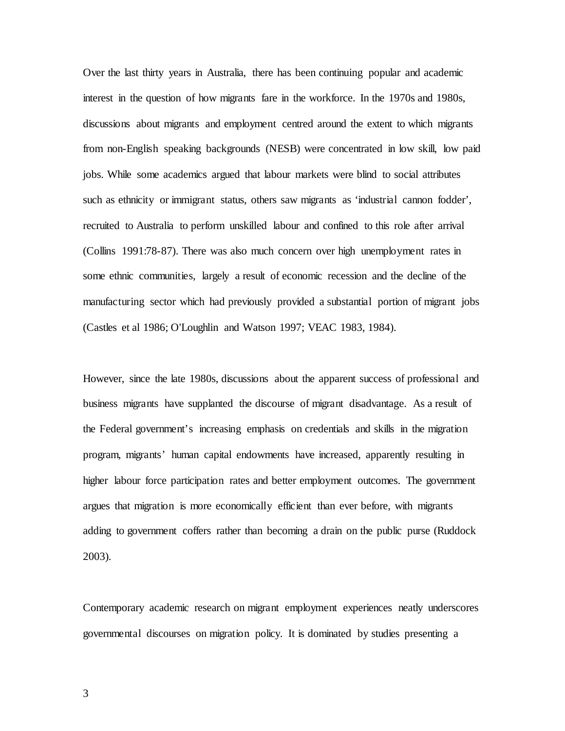Over the last thirty years in Australia, there has been continuing popular and academic interest in the question of how migrants fare in the workforce. In the 1970s and 1980s, discussions about migrants and employment centred around the extent to which migrants from non-English speaking backgrounds (NESB) were concentrated in low skill, low paid jobs. While some academics argued that labour markets were blind to social attributes such as ethnicity or immigrant status, others saw migrants as 'industrial cannon fodder', recruited to Australia to perform unskilled labour and confined to this role after arrival (Collins 1991:78-87). There was also much concern over high unemployment rates in some ethnic communities, largely a result of economic recession and the decline of the manufacturing sector which had previously provided a substantial portion of migrant jobs (Castles et al 1986; O'Loughlin and Watson 1997; VEAC 1983, 1984).

However, since the late 1980s, discussions about the apparent success of professional and business migrants have supplanted the discourse of migrant disadvantage. As a result of the Federal government's increasing emphasis on credentials and skills in the migration program, migrants' human capital endowments have increased, apparently resulting in higher labour force participation rates and better employment outcomes. The government argues that migration is more economically efficient than ever before, with migrants adding to government coffers rather than becoming a drain on the public purse (Ruddock 2003).

Contemporary academic research on migrant employment experiences neatly underscores governmental discourses on migration policy. It is dominated by studies presenting a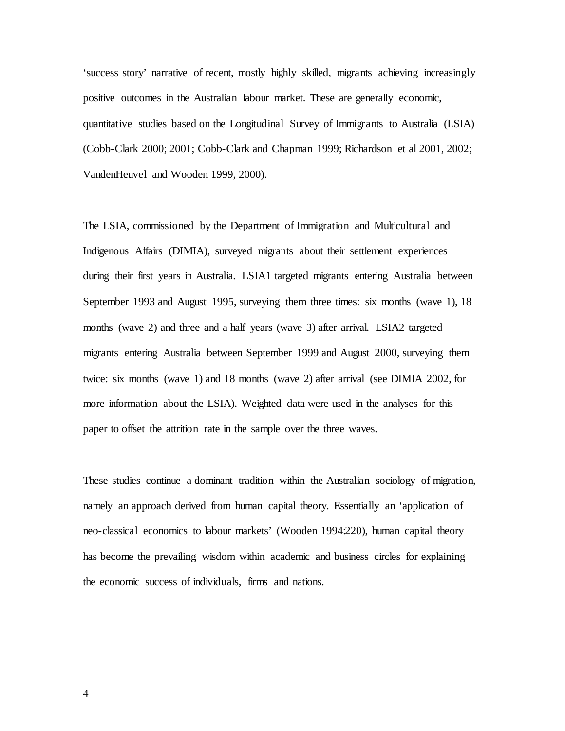'success story' narrative of recent, mostly highly skilled, migrants achieving increasingly positive outcomes in the Australian labour market. These are generally economic, quantitative studies based on the Longitudinal Survey of Immigrants to Australia (LSIA) (Cobb-Clark 2000; 2001; Cobb-Clark and Chapman 1999; Richardson et al 2001, 2002; VandenHeuvel and Wooden 1999, 2000).

The LSIA, commissioned by the Department of Immigration and Multicultural and Indigenous Affairs (DIMIA), surveyed migrants about their settlement experiences during their first years in Australia. LSIA1 targeted migrants entering Australia between September 1993 and August 1995, surveying them three times: six months (wave 1), 18 months (wave 2) and three and a half years (wave 3) after arrival. LSIA2 targeted migrants entering Australia between September 1999 and August 2000, surveying them twice: six months (wave 1) and 18 months (wave 2) after arrival (see DIMIA 2002, for more information about the LSIA). Weighted data were used in the analyses for this paper to offset the attrition rate in the sample over the three waves.

These studies continue a dominant tradition within the Australian sociology of migration, namely an approach derived from human capital theory. Essentially an 'application of neo-classical economics to labour markets' (Wooden 1994:220), human capital theory has become the prevailing wisdom within academic and business circles for explaining the economic success of individuals, firms and nations.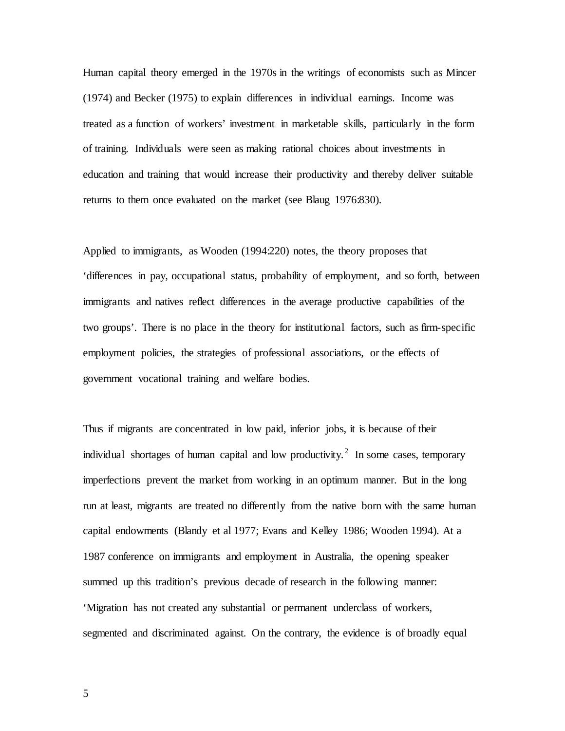Human capital theory emerged in the 1970s in the writings of economists such as Mincer (1974) and Becker (1975) to explain differences in individual earnings. Income was treated as a function of workers' investment in marketable skills, particularly in the form of training. Individuals were seen as making rational choices about investments in education and training that would increase their productivity and thereby deliver suitable returns to them once evaluated on the market (see Blaug 1976:830).

Applied to immigrants, as Wooden (1994:220) notes, the theory proposes that 'differences in pay, occupational status, probability of employment, and so forth, between immigrants and natives reflect differences in the average productive capabilities of the two groups'. There is no place in the theory for institutional factors, such as firm-specific employment policies, the strategies of professional associations, or the effects of government vocational training and welfare bodies.

Thus if migrants are concentrated in low paid, inferior jobs, it is because of their individual shortages of human capital and low productivity.<sup>[2](#page-43-1)</sup> In some cases, temporary imperfections prevent the market from working in an optimum manner. But in the long run at least, migrants are treated no differently from the native born with the same human capital endowments (Blandy et al 1977; Evans and Kelley 1986; Wooden 1994). At a 1987 conference on immigrants and employment in Australia, the opening speaker summed up this tradition's previous decade of research in the following manner: 'Migration has not created any substantial or permanent underclass of workers, segmented and discriminated against. On the contrary, the evidence is of broadly equal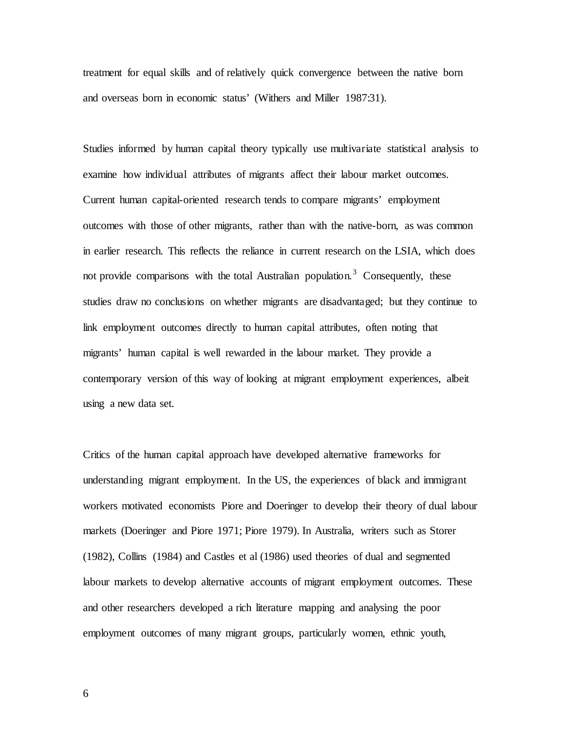treatment for equal skills and of relatively quick convergence between the native born and overseas born in economic status' (Withers and Miller 1987:31).

Studies informed by human capital theory typically use multivariate statistical analysis to examine how individual attributes of migrants affect their labour market outcomes. Current human capital-oriented research tends to compare migrants' employment outcomes with those of other migrants, rather than with the native-born, as was common in earlier research. This reflects the reliance in current research on the LSIA, which does not provide comparisons with the total Australian population.<sup>[3](#page-43-2)</sup> Consequently, these studies draw no conclusions on whether migrants are disadvantaged; but they continue to link employment outcomes directly to human capital attributes, often noting that migrants' human capital is well rewarded in the labour market. They provide a contemporary version of this way of looking at migrant employment experiences, albeit using a new data set.

Critics of the human capital approach have developed alternative frameworks for understanding migrant employment. In the US, the experiences of black and immigrant workers motivated economists Piore and Doeringer to develop their theory of dual labour markets (Doeringer and Piore 1971; Piore 1979). In Australia, writers such as Storer (1982), Collins (1984) and Castles et al (1986) used theories of dual and segmented labour markets to develop alternative accounts of migrant employment outcomes. These and other researchers developed a rich literature mapping and analysing the poor employment outcomes of many migrant groups, particularly women, ethnic youth,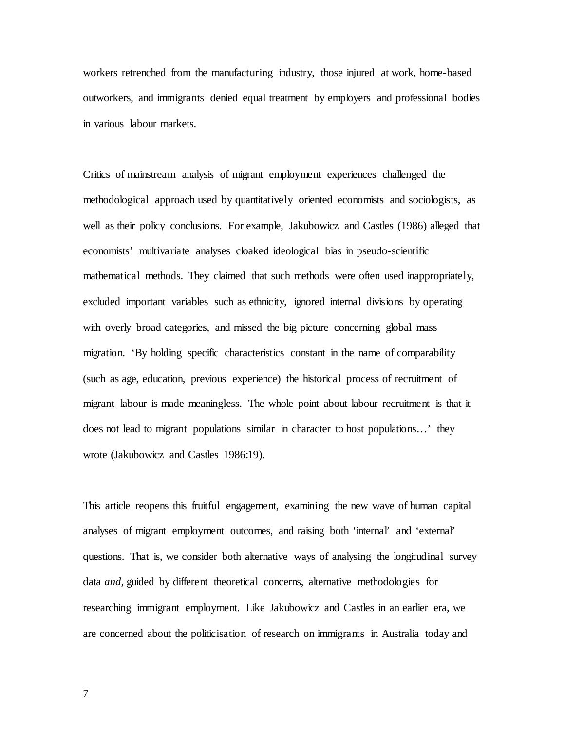workers retrenched from the manufacturing industry, those injured at work, home-based outworkers, and immigrants denied equal treatment by employers and professional bodies in various labour markets.

Critics of mainstream analysis of migrant employment experiences challenged the methodological approach used by quantitatively oriented economists and sociologists, as well as their policy conclusions. For example, Jakubowicz and Castles (1986) alleged that economists' multivariate analyses cloaked ideological bias in pseudo-scientific mathematical methods. They claimed that such methods were often used inappropriately, excluded important variables such as ethnicity, ignored internal divisions by operating with overly broad categories, and missed the big picture concerning global mass migration. 'By holding specific characteristics constant in the name of comparability (such as age, education, previous experience) the historical process of recruitment of migrant labour is made meaningless. The whole point about labour recruitment is that it does not lead to migrant populations similar in character to host populations…' they wrote (Jakubowicz and Castles 1986:19).

This article reopens this fruitful engagement, examining the new wave of human capital analyses of migrant employment outcomes, and raising both 'internal' and 'external' questions. That is, we consider both alternative ways of analysing the longitudinal survey data *and,* guided by different theoretical concerns, alternative methodologies for researching immigrant employment. Like Jakubowicz and Castles in an earlier era, we are concerned about the politicisation of research on immigrants in Australia today and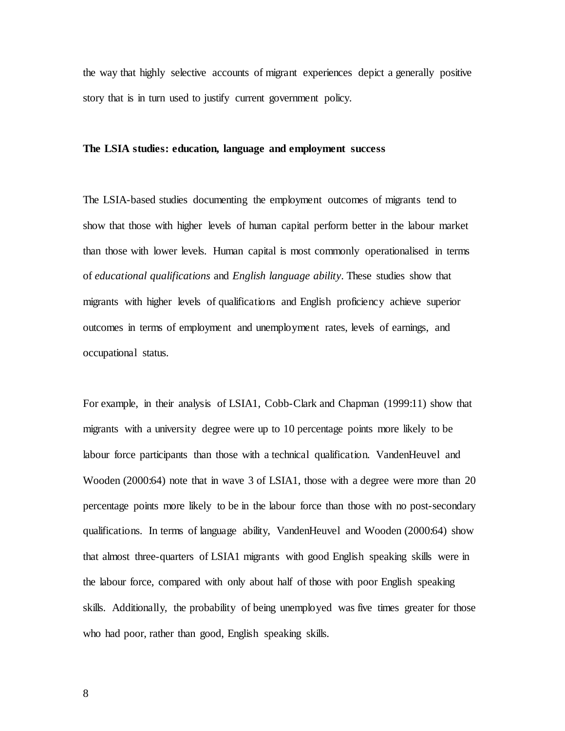the way that highly selective accounts of migrant experiences depict a generally positive story that is in turn used to justify current government policy.

#### **The LSIA studies: education, language and employment success**

The LSIA-based studies documenting the employment outcomes of migrants tend to show that those with higher levels of human capital perform better in the labour market than those with lower levels. Human capital is most commonly operationalised in terms of *educational qualifications* and *English language ability*. These studies show that migrants with higher levels of qualifications and English proficiency achieve superior outcomes in terms of employment and unemployment rates, levels of earnings, and occupational status.

For example, in their analysis of LSIA1, Cobb-Clark and Chapman (1999:11) show that migrants with a university degree were up to 10 percentage points more likely to be labour force participants than those with a technical qualification. VandenHeuvel and Wooden (2000:64) note that in wave 3 of LSIA1, those with a degree were more than 20 percentage points more likely to be in the labour force than those with no post-secondary qualifications. In terms of language ability, VandenHeuvel and Wooden (2000:64) show that almost three-quarters of LSIA1 migrants with good English speaking skills were in the labour force, compared with only about half of those with poor English speaking skills. Additionally, the probability of being unemployed was five times greater for those who had poor, rather than good, English speaking skills.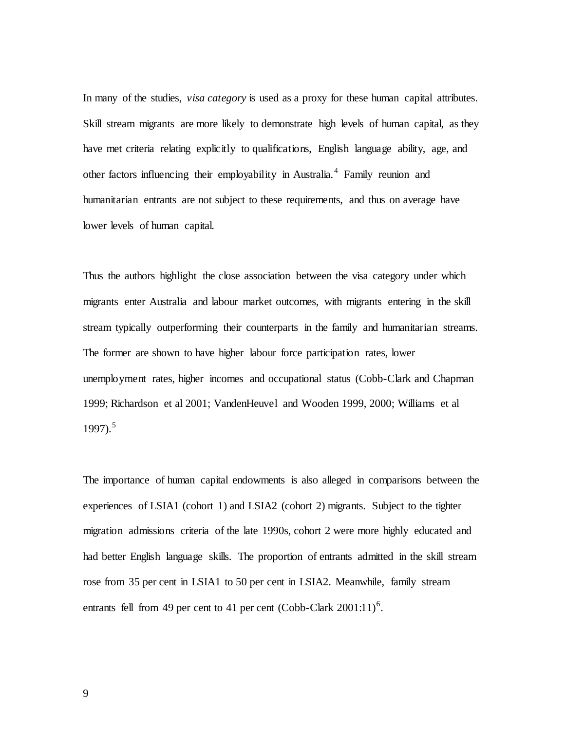In many of the studies, *visa category* is used as a proxy for these human capital attributes. Skill stream migrants are more likely to demonstrate high levels of human capital, as they have met criteria relating explicitly to qualifications, English language ability, age, and other factors influencing their employability in Australia.<sup>[4](#page-43-3)</sup> Family reunion and humanitarian entrants are not subject to these requirements, and thus on average have lower levels of human capital.

Thus the authors highlight the close association between the visa category under which migrants enter Australia and labour market outcomes, with migrants entering in the skill stream typically outperforming their counterparts in the family and humanitarian streams. The former are shown to have higher labour force participation rates, lower unemployment rates, higher incomes and occupational status (Cobb-Clark and Chapman 1999; Richardson et al 2001; VandenHeuvel and Wooden 1999, 2000; Williams et al 1997). [5](#page-43-4)

The importance of human capital endowments is also alleged in comparisons between the experiences of LSIA1 (cohort 1) and LSIA2 (cohort 2) migrants. Subject to the tighter migration admissions criteria of the late 1990s, cohort 2 were more highly educated and had better English language skills. The proportion of entrants admitted in the skill stream rose from 35 per cent in LSIA1 to 50 per cent in LSIA2. Meanwhile, family stream entrants fell from 49 per cent to 41 per cent (Cobb-Clark  $2001:11$ )<sup>[6](#page-43-5)</sup>.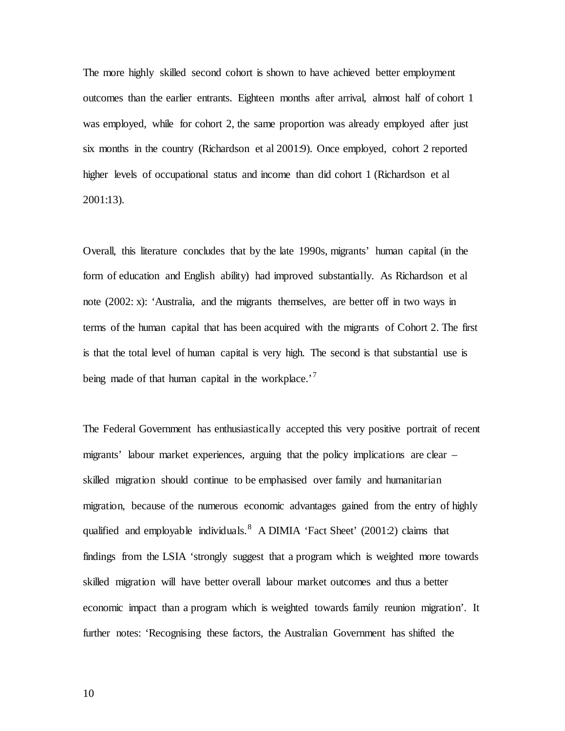The more highly skilled second cohort is shown to have achieved better employment outcomes than the earlier entrants. Eighteen months after arrival, almost half of cohort 1 was employed, while for cohort 2, the same proportion was already employed after just six months in the country (Richardson et al 2001:9). Once employed, cohort 2 reported higher levels of occupational status and income than did cohort 1 (Richardson et al 2001:13).

Overall, this literature concludes that by the late 1990s, migrants' human capital (in the form of education and English ability) had improved substantially. As Richardson et al note (2002: x): 'Australia, and the migrants themselves, are better off in two ways in terms of the human capital that has been acquired with the migrants of Cohort 2. The first is that the total level of human capital is very high. The second is that substantial use is being made of that human capital in the workplace. $^{7}$  $^{7}$  $^{7}$ 

The Federal Government has enthusiastically accepted this very positive portrait of recent migrants' labour market experiences, arguing that the policy implications are clear – skilled migration should continue to be emphasised over family and humanitarian migration, because of the numerous economic advantages gained from the entry of highly qualified and employable individuals.<sup>[8](#page-43-7)</sup> A DIMIA 'Fact Sheet'  $(2001:2)$  claims that findings from the LSIA 'strongly suggest that a program which is weighted more towards skilled migration will have better overall labour market outcomes and thus a better economic impact than a program which is weighted towards family reunion migration'. It further notes: 'Recognising these factors, the Australian Government has shifted the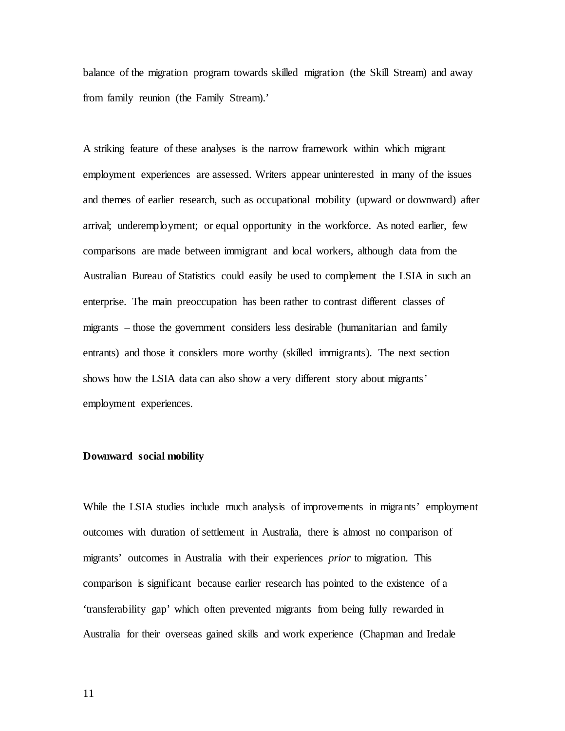balance of the migration program towards skilled migration (the Skill Stream) and away from family reunion (the Family Stream).'

A striking feature of these analyses is the narrow framework within which migrant employment experiences are assessed. Writers appear uninterested in many of the issues and themes of earlier research, such as occupational mobility (upward or downward) after arrival; underemployment; or equal opportunity in the workforce. As noted earlier, few comparisons are made between immigrant and local workers, although data from the Australian Bureau of Statistics could easily be used to complement the LSIA in such an enterprise. The main preoccupation has been rather to contrast different classes of migrants – those the government considers less desirable (humanitarian and family entrants) and those it considers more worthy (skilled immigrants). The next section shows how the LSIA data can also show a very different story about migrants' employment experiences.

### **Downward social mobility**

While the LSIA studies include much analysis of improvements in migrants' employment outcomes with duration of settlement in Australia, there is almost no comparison of migrants' outcomes in Australia with their experiences *prior* to migration. This comparison is significant because earlier research has pointed to the existence of a 'transferability gap' which often prevented migrants from being fully rewarded in Australia for their overseas gained skills and work experience (Chapman and Iredale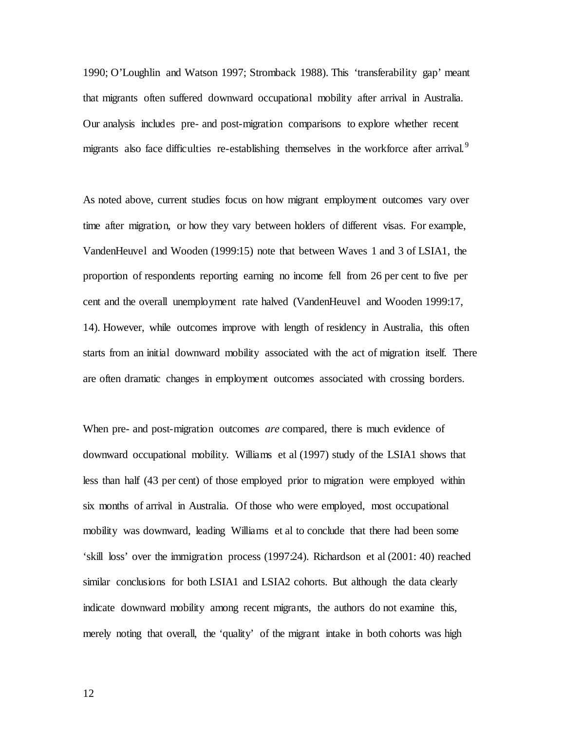1990; O'Loughlin and Watson 1997; Stromback 1988). This 'transferability gap' meant that migrants often suffered downward occupational mobility after arrival in Australia. Our analysis includes pre- and post-migration comparisons to explore whether recent migrants also face difficulties re-establishing themselves in the workforce after arrival.<sup>[9](#page-43-8)</sup>

As noted above, current studies focus on how migrant employment outcomes vary over time after migration, or how they vary between holders of different visas. For example, VandenHeuvel and Wooden (1999:15) note that between Waves 1 and 3 of LSIA1, the proportion of respondents reporting earning no income fell from 26 per cent to five per cent and the overall unemployment rate halved (VandenHeuvel and Wooden 1999:17, 14). However, while outcomes improve with length of residency in Australia, this often starts from an initial downward mobility associated with the act of migration itself. There are often dramatic changes in employment outcomes associated with crossing borders.

When pre- and post-migration outcomes *are* compared, there is much evidence of downward occupational mobility. Williams et al (1997) study of the LSIA1 shows that less than half (43 per cent) of those employed prior to migration were employed within six months of arrival in Australia. Of those who were employed, most occupational mobility was downward, leading Williams et al to conclude that there had been some 'skill loss' over the immigration process (1997:24). Richardson et al (2001: 40) reached similar conclusions for both LSIA1 and LSIA2 cohorts. But although the data clearly indicate downward mobility among recent migrants, the authors do not examine this, merely noting that overall, the 'quality' of the migrant intake in both cohorts was high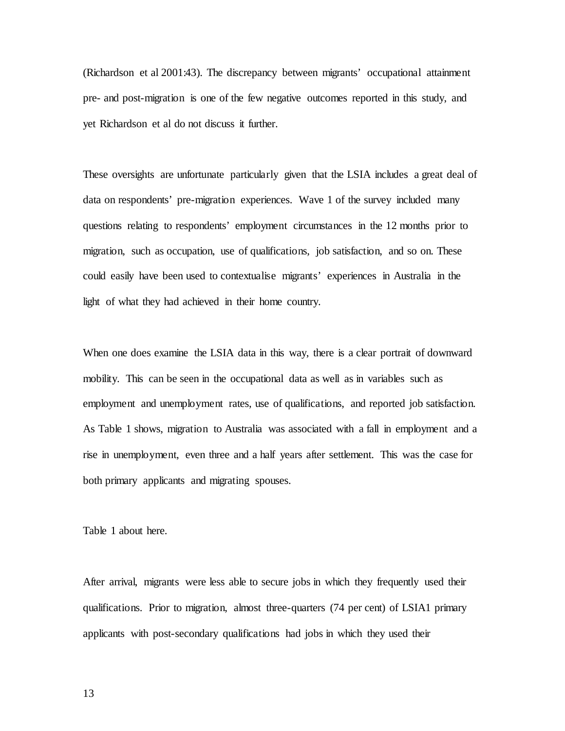(Richardson et al 2001:43). The discrepancy between migrants' occupational attainment pre- and post-migration is one of the few negative outcomes reported in this study, and yet Richardson et al do not discuss it further.

These oversights are unfortunate particularly given that the LSIA includes a great deal of data on respondents' pre-migration experiences. Wave 1 of the survey included many questions relating to respondents' employment circumstances in the 12 months prior to migration, such as occupation, use of qualifications, job satisfaction, and so on. These could easily have been used to contextualise migrants' experiences in Australia in the light of what they had achieved in their home country.

When one does examine the LSIA data in this way, there is a clear portrait of downward mobility. This can be seen in the occupational data as well as in variables such as employment and unemployment rates, use of qualifications, and reported job satisfaction. As Table 1 shows, migration to Australia was associated with a fall in employment and a rise in unemployment, even three and a half years after settlement. This was the case for both primary applicants and migrating spouses.

Table 1 about here.

After arrival, migrants were less able to secure jobs in which they frequently used their qualifications. Prior to migration, almost three-quarters (74 per cent) of LSIA1 primary applicants with post-secondary qualifications had jobs in which they used their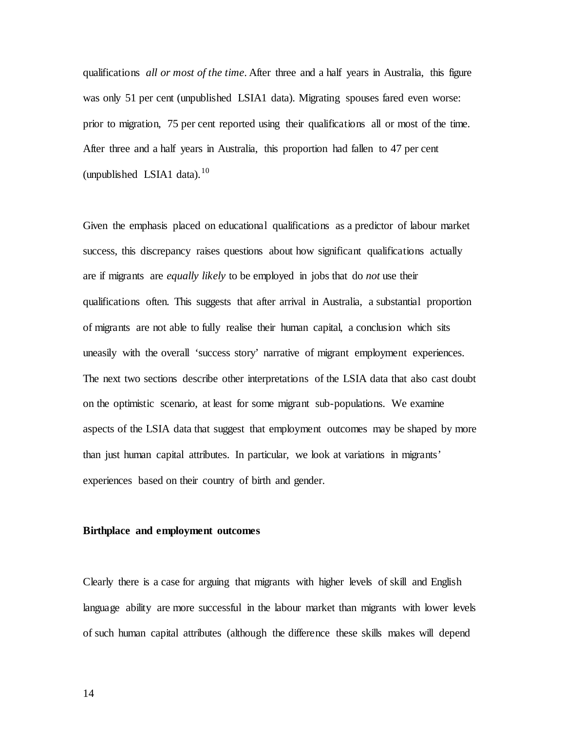qualifications *all or most of the time*. After three and a half years in Australia, this figure was only 51 per cent (unpublished LSIA1 data). Migrating spouses fared even worse: prior to migration, 75 per cent reported using their qualifications all or most of the time. After three and a half years in Australia, this proportion had fallen to 47 per cent (unpublished LSIA1 data).<sup>[10](#page-43-9)</sup>

Given the emphasis placed on educational qualifications as a predictor of labour market success, this discrepancy raises questions about how significant qualifications actually are if migrants are *equally likely* to be employed in jobs that do *not* use their qualifications often. This suggests that after arrival in Australia, a substantial proportion of migrants are not able to fully realise their human capital, a conclusion which sits uneasily with the overall 'success story' narrative of migrant employment experiences. The next two sections describe other interpretations of the LSIA data that also cast doubt on the optimistic scenario, at least for some migrant sub-populations. We examine aspects of the LSIA data that suggest that employment outcomes may be shaped by more than just human capital attributes. In particular, we look at variations in migrants' experiences based on their country of birth and gender.

#### **Birthplace and employment outcomes**

Clearly there is a case for arguing that migrants with higher levels of skill and English language ability are more successful in the labour market than migrants with lower levels of such human capital attributes (although the difference these skills makes will depend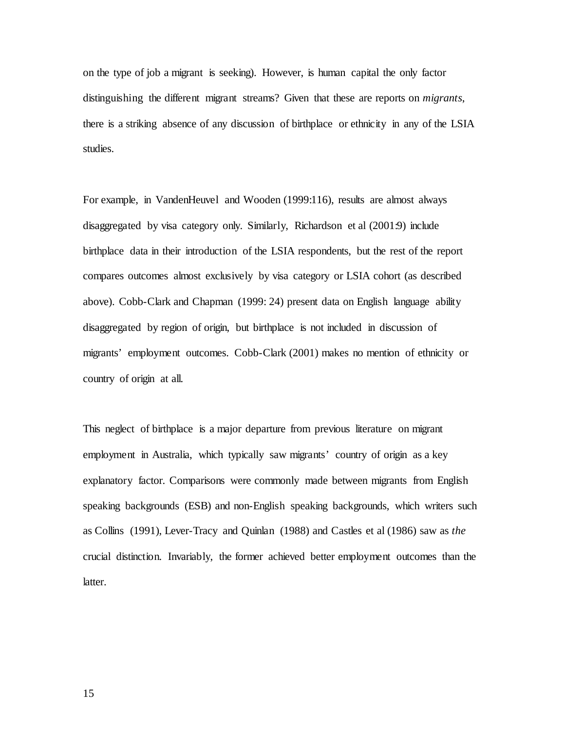on the type of job a migrant is seeking). However, is human capital the only factor distinguishing the different migrant streams? Given that these are reports on *migrants*, there is a striking absence of any discussion of birthplace or ethnicity in any of the LSIA studies.

For example, in VandenHeuvel and Wooden (1999:116), results are almost always disaggregated by visa category only. Similarly, Richardson et al (2001:9) include birthplace data in their introduction of the LSIA respondents, but the rest of the report compares outcomes almost exclusively by visa category or LSIA cohort (as described above). Cobb-Clark and Chapman (1999: 24) present data on English language ability disaggregated by region of origin, but birthplace is not included in discussion of migrants' employment outcomes. Cobb-Clark (2001) makes no mention of ethnicity or country of origin at all.

This neglect of birthplace is a major departure from previous literature on migrant employment in Australia, which typically saw migrants' country of origin as a key explanatory factor. Comparisons were commonly made between migrants from English speaking backgrounds (ESB) and non-English speaking backgrounds, which writers such as Collins (1991), Lever-Tracy and Quinlan (1988) and Castles et al (1986) saw as *the* crucial distinction. Invariably, the former achieved better employment outcomes than the latter.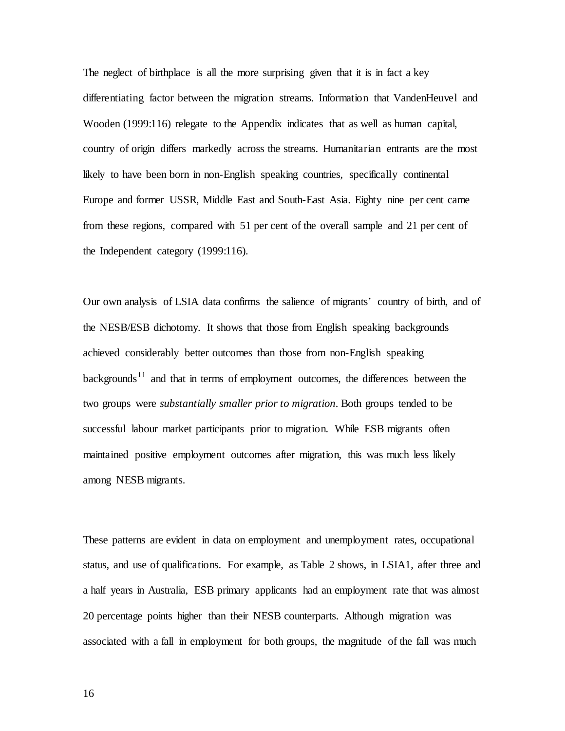The neglect of birthplace is all the more surprising given that it is in fact a key differentiating factor between the migration streams. Information that VandenHeuvel and Wooden (1999:116) relegate to the Appendix indicates that as well as human capital, country of origin differs markedly across the streams. Humanitarian entrants are the most likely to have been born in non-English speaking countries, specifically continental Europe and former USSR, Middle East and South-East Asia. Eighty nine per cent came from these regions, compared with 51 per cent of the overall sample and 21 per cent of the Independent category (1999:116).

Our own analysis of LSIA data confirms the salience of migrants' country of birth, and of the NESB/ESB dichotomy. It shows that those from English speaking backgrounds achieved considerably better outcomes than those from non-English speaking  $backgrounds<sup>11</sup>$  $backgrounds<sup>11</sup>$  $backgrounds<sup>11</sup>$  and that in terms of employment outcomes, the differences between the two groups were *substantially smaller prior to migration*. Both groups tended to be successful labour market participants prior to migration. While ESB migrants often maintained positive employment outcomes after migration, this was much less likely among NESB migrants.

These patterns are evident in data on employment and unemployment rates, occupational status, and use of qualifications. For example, as Table 2 shows, in LSIA1, after three and a half years in Australia, ESB primary applicants had an employment rate that was almost 20 percentage points higher than their NESB counterparts. Although migration was associated with a fall in employment for both groups, the magnitude of the fall was much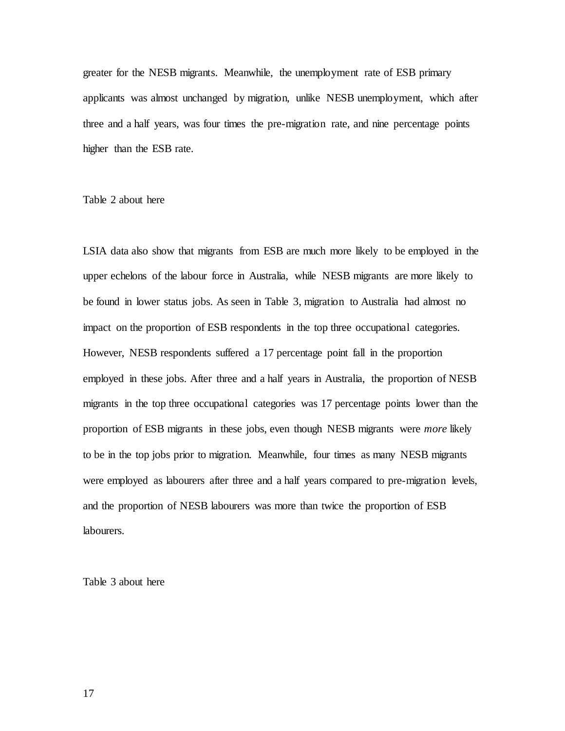greater for the NESB migrants. Meanwhile, the unemployment rate of ESB primary applicants was almost unchanged by migration, unlike NESB unemployment, which after three and a half years, was four times the pre-migration rate, and nine percentage points higher than the ESB rate.

Table 2 about here

LSIA data also show that migrants from ESB are much more likely to be employed in the upper echelons of the labour force in Australia, while NESB migrants are more likely to be found in lower status jobs. As seen in Table 3, migration to Australia had almost no impact on the proportion of ESB respondents in the top three occupational categories. However, NESB respondents suffered a 17 percentage point fall in the proportion employed in these jobs. After three and a half years in Australia, the proportion of NESB migrants in the top three occupational categories was 17 percentage points lower than the proportion of ESB migrants in these jobs, even though NESB migrants were *more* likely to be in the top jobs prior to migration. Meanwhile, four times as many NESB migrants were employed as labourers after three and a half years compared to pre-migration levels, and the proportion of NESB labourers was more than twice the proportion of ESB labourers.

Table 3 about here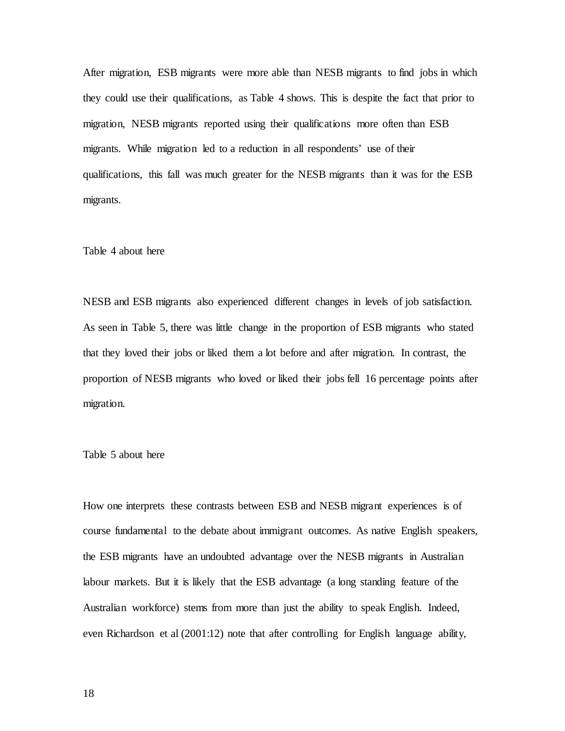After migration, ESB migrants were more able than NESB migrants to find jobs in which they could use their qualifications, as Table 4 shows. This is despite the fact that prior to migration, NESB migrants reported using their qualifications more often than ESB migrants. While migration led to a reduction in all respondents' use of their qualifications, this fall was much greater for the NESB migrants than it was for the ESB migrants.

#### Table 4 about here

NESB and ESB migrants also experienced different changes in levels of job satisfaction. As seen in Table 5, there was little change in the proportion of ESB migrants who stated that they loved their jobs or liked them a lot before and after migration. In contrast, the proportion of NESB migrants who loved or liked their jobs fell 16 percentage points after migration.

#### Table 5 about here

How one interprets these contrasts between ESB and NESB migrant experiences is of course fundamental to the debate about immigrant outcomes. As native English speakers, the ESB migrants have an undoubted advantage over the NESB migrants in Australian labour markets. But it is likely that the ESB advantage (a long standing feature of the Australian workforce) stems from more than just the ability to speak English. Indeed, even Richardson et al (2001:12) note that after controlling for English language ability,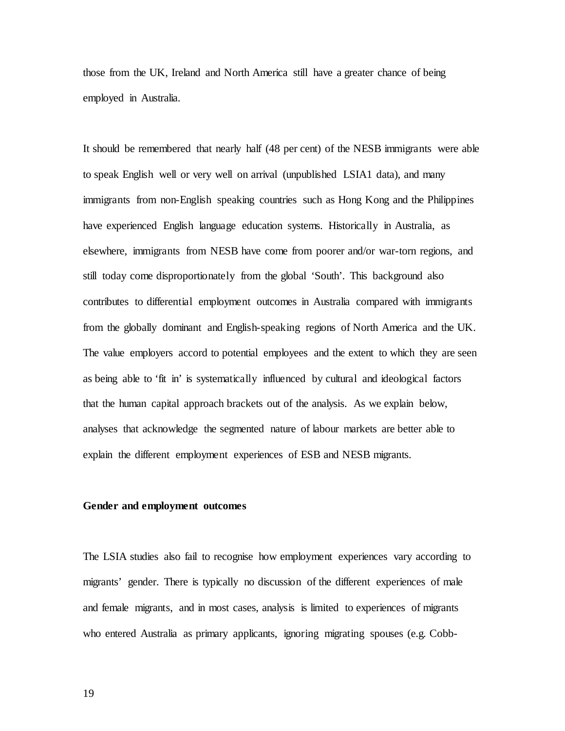those from the UK, Ireland and North America still have a greater chance of being employed in Australia.

It should be remembered that nearly half (48 per cent) of the NESB immigrants were able to speak English well or very well on arrival (unpublished LSIA1 data), and many immigrants from non-English speaking countries such as Hong Kong and the Philippines have experienced English language education systems. Historically in Australia, as elsewhere, immigrants from NESB have come from poorer and/or war-torn regions, and still today come disproportionately from the global 'South'. This background also contributes to differential employment outcomes in Australia compared with immigrants from the globally dominant and English-speaking regions of North America and the UK. The value employers accord to potential employees and the extent to which they are seen as being able to 'fit in' is systematically influenced by cultural and ideological factors that the human capital approach brackets out of the analysis. As we explain below, analyses that acknowledge the segmented nature of labour markets are better able to explain the different employment experiences of ESB and NESB migrants.

#### **Gender and employment outcomes**

The LSIA studies also fail to recognise how employment experiences vary according to migrants' gender. There is typically no discussion of the different experiences of male and female migrants, and in most cases, analysis is limited to experiences of migrants who entered Australia as primary applicants, ignoring migrating spouses (e.g. Cobb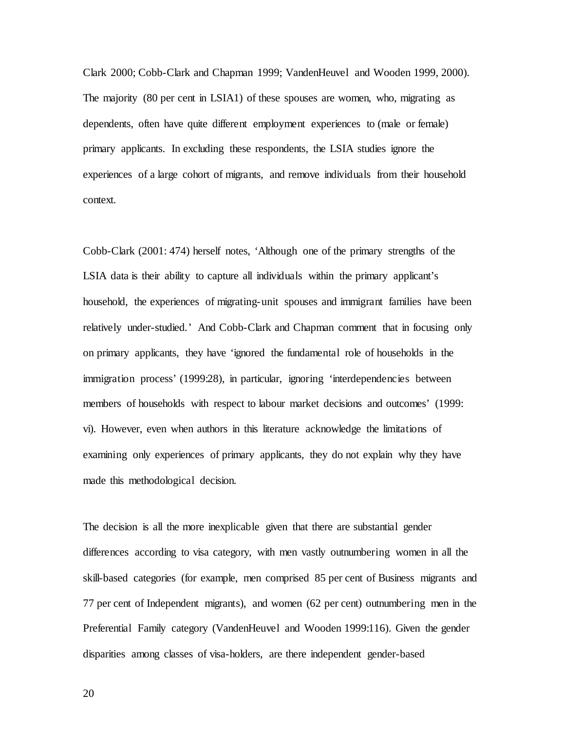Clark 2000; Cobb-Clark and Chapman 1999; VandenHeuvel and Wooden 1999, 2000). The majority (80 per cent in LSIA1) of these spouses are women, who, migrating as dependents, often have quite different employment experiences to (male or female) primary applicants. In excluding these respondents, the LSIA studies ignore the experiences of a large cohort of migrants, and remove individuals from their household context.

Cobb-Clark (2001: 474) herself notes, 'Although one of the primary strengths of the LSIA data is their ability to capture all individuals within the primary applicant's household, the experiences of migrating-unit spouses and immigrant families have been relatively under-studied.' And Cobb-Clark and Chapman comment that in focusing only on primary applicants, they have 'ignored the fundamental role of households in the immigration process' (1999:28), in particular, ignoring 'interdependencies between members of households with respect to labour market decisions and outcomes' (1999: vi). However, even when authors in this literature acknowledge the limitations of examining only experiences of primary applicants, they do not explain why they have made this methodological decision.

The decision is all the more inexplicable given that there are substantial gender differences according to visa category, with men vastly outnumbering women in all the skill-based categories (for example, men comprised 85 per cent of Business migrants and 77 per cent of Independent migrants), and women (62 per cent) outnumbering men in the Preferential Family category (VandenHeuvel and Wooden 1999:116). Given the gender disparities among classes of visa-holders, are there independent gender-based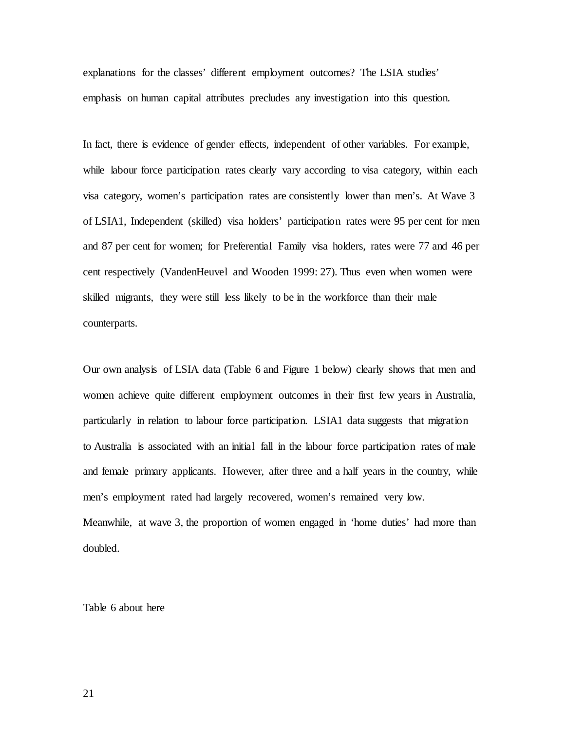explanations for the classes' different employment outcomes? The LSIA studies' emphasis on human capital attributes precludes any investigation into this question.

In fact, there is evidence of gender effects, independent of other variables. For example, while labour force participation rates clearly vary according to visa category, within each visa category, women's participation rates are consistently lower than men's. At Wave 3 of LSIA1, Independent (skilled) visa holders' participation rates were 95 per cent for men and 87 per cent for women; for Preferential Family visa holders, rates were 77 and 46 per cent respectively (VandenHeuvel and Wooden 1999: 27). Thus even when women were skilled migrants, they were still less likely to be in the workforce than their male counterparts.

Our own analysis of LSIA data (Table 6 and Figure 1 below) clearly shows that men and women achieve quite different employment outcomes in their first few years in Australia, particularly in relation to labour force participation. LSIA1 data suggests that migration to Australia is associated with an initial fall in the labour force participation rates of male and female primary applicants. However, after three and a half years in the country, while men's employment rated had largely recovered, women's remained very low. Meanwhile, at wave 3, the proportion of women engaged in 'home duties' had more than doubled.

Table 6 about here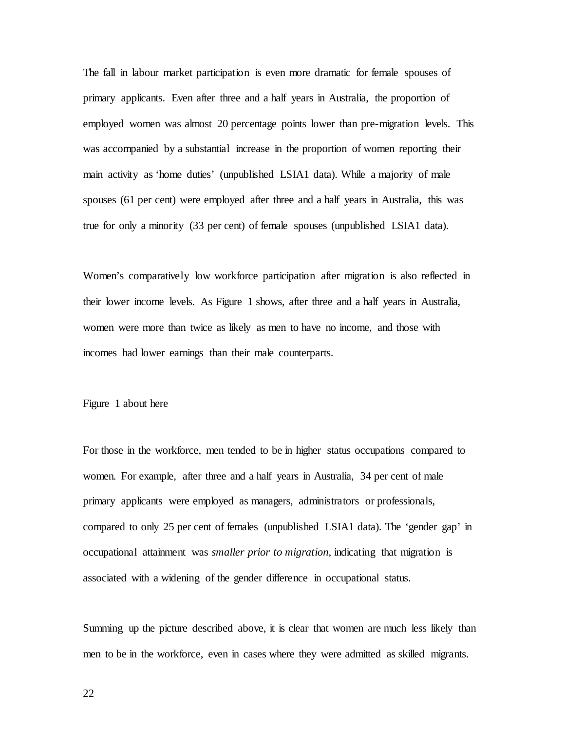The fall in labour market participation is even more dramatic for female spouses of primary applicants. Even after three and a half years in Australia, the proportion of employed women was almost 20 percentage points lower than pre-migration levels. This was accompanied by a substantial increase in the proportion of women reporting their main activity as 'home duties' (unpublished LSIA1 data). While a majority of male spouses (61 per cent) were employed after three and a half years in Australia, this was true for only a minority (33 per cent) of female spouses (unpublished LSIA1 data).

Women's comparatively low workforce participation after migration is also reflected in their lower income levels. As Figure 1 shows, after three and a half years in Australia, women were more than twice as likely as men to have no income, and those with incomes had lower earnings than their male counterparts.

#### Figure 1 about here

For those in the workforce, men tended to be in higher status occupations compared to women. For example, after three and a half years in Australia, 34 per cent of male primary applicants were employed as managers, administrators or professionals, compared to only 25 per cent of females (unpublished LSIA1 data). The 'gender gap' in occupational attainment was *smaller prior to migration*, indicating that migration is associated with a widening of the gender difference in occupational status.

Summing up the picture described above, it is clear that women are much less likely than men to be in the workforce, even in cases where they were admitted as skilled migrants.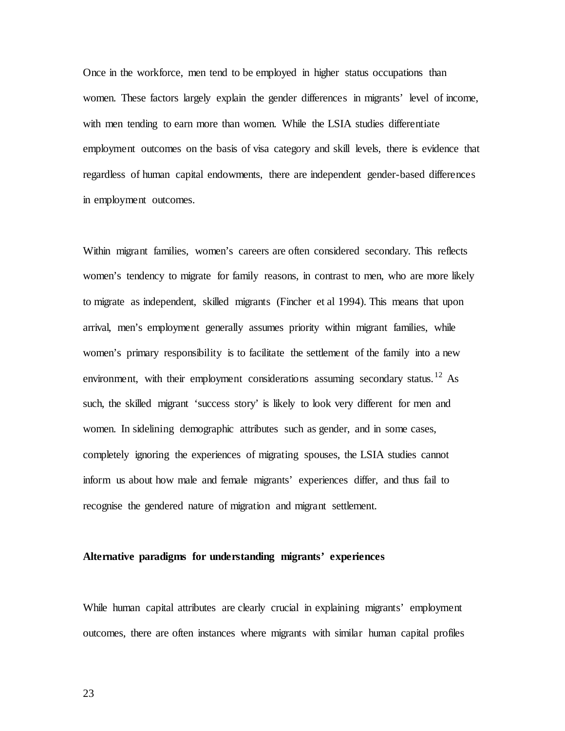Once in the workforce, men tend to be employed in higher status occupations than women. These factors largely explain the gender differences in migrants' level of income, with men tending to earn more than women. While the LSIA studies differentiate employment outcomes on the basis of visa category and skill levels, there is evidence that regardless of human capital endowments, there are independent gender-based differences in employment outcomes.

Within migrant families, women's careers are often considered secondary. This reflects women's tendency to migrate for family reasons, in contrast to men, who are more likely to migrate as independent, skilled migrants (Fincher et al 1994). This means that upon arrival, men's employment generally assumes priority within migrant families, while women's primary responsibility is to facilitate the settlement of the family into a new environment, with their employment considerations assuming secondary status.<sup>[12](#page-43-11)</sup> As such, the skilled migrant 'success story' is likely to look very different for men and women. In sidelining demographic attributes such as gender, and in some cases, completely ignoring the experiences of migrating spouses, the LSIA studies cannot inform us about how male and female migrants' experiences differ, and thus fail to recognise the gendered nature of migration and migrant settlement.

#### **Alternative paradigms for understanding migrants' experiences**

While human capital attributes are clearly crucial in explaining migrants' employment outcomes, there are often instances where migrants with similar human capital profiles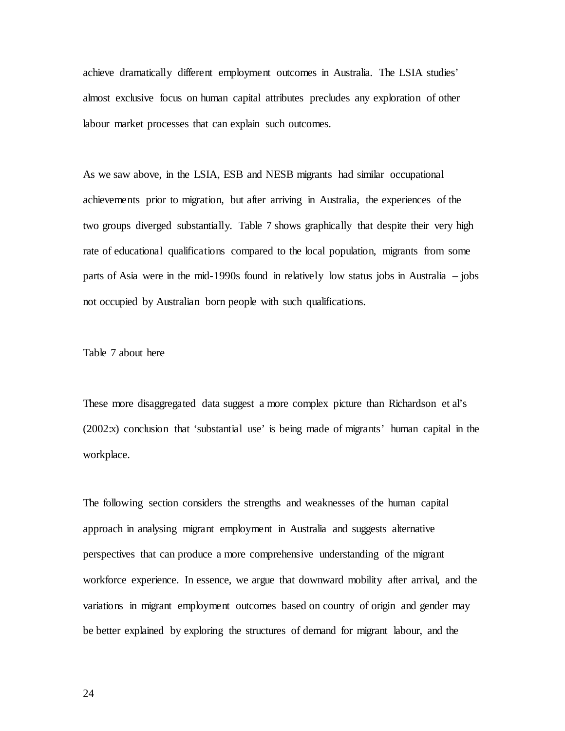achieve dramatically different employment outcomes in Australia. The LSIA studies' almost exclusive focus on human capital attributes precludes any exploration of other labour market processes that can explain such outcomes.

As we saw above, in the LSIA, ESB and NESB migrants had similar occupational achievements prior to migration, but after arriving in Australia, the experiences of the two groups diverged substantially. Table 7 shows graphically that despite their very high rate of educational qualifications compared to the local population, migrants from some parts of Asia were in the mid-1990s found in relatively low status jobs in Australia – jobs not occupied by Australian born people with such qualifications.

#### Table 7 about here

These more disaggregated data suggest a more complex picture than Richardson et al's (2002:x) conclusion that 'substantial use' is being made of migrants' human capital in the workplace.

The following section considers the strengths and weaknesses of the human capital approach in analysing migrant employment in Australia and suggests alternative perspectives that can produce a more comprehensive understanding of the migrant workforce experience. In essence, we argue that downward mobility after arrival, and the variations in migrant employment outcomes based on country of origin and gender may be better explained by exploring the structures of demand for migrant labour, and the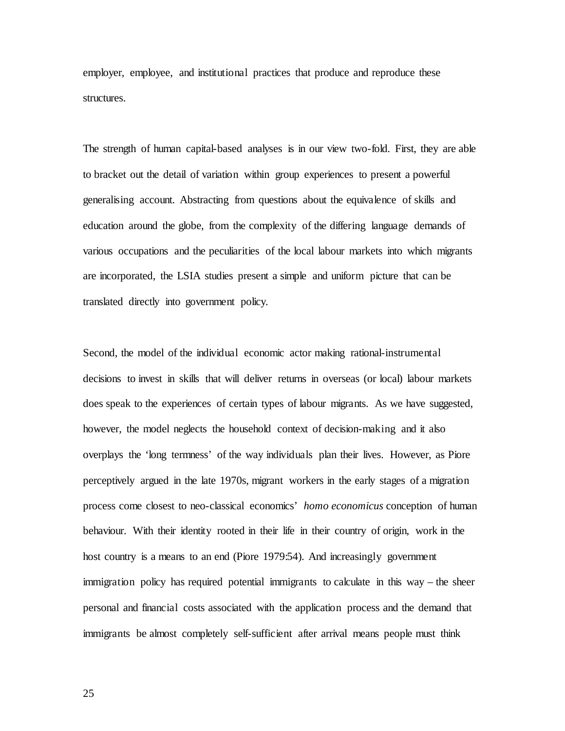employer, employee, and institutional practices that produce and reproduce these structures.

The strength of human capital-based analyses is in our view two-fold. First, they are able to bracket out the detail of variation within group experiences to present a powerful generalising account. Abstracting from questions about the equivalence of skills and education around the globe, from the complexity of the differing language demands of various occupations and the peculiarities of the local labour markets into which migrants are incorporated, the LSIA studies present a simple and uniform picture that can be translated directly into government policy.

Second, the model of the individual economic actor making rational-instrumental decisions to invest in skills that will deliver returns in overseas (or local) labour markets does speak to the experiences of certain types of labour migrants. As we have suggested, however, the model neglects the household context of decision-making and it also overplays the 'long termness' of the way individuals plan their lives. However, as Piore perceptively argued in the late 1970s, migrant workers in the early stages of a migration process come closest to neo-classical economics' *homo economicus* conception of human behaviour. With their identity rooted in their life in their country of origin, work in the host country is a means to an end (Piore 1979:54). And increasingly government immigration policy has required potential immigrants to calculate in this way – the sheer personal and financial costs associated with the application process and the demand that immigrants be almost completely self-sufficient after arrival means people must think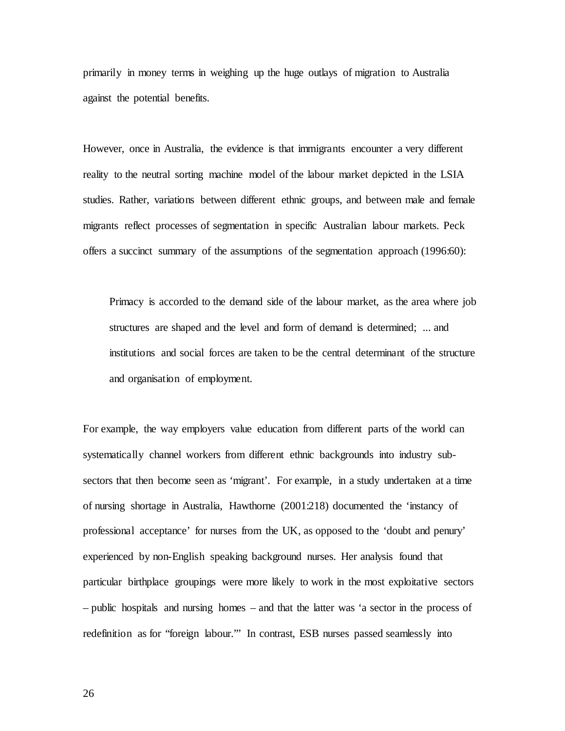primarily in money terms in weighing up the huge outlays of migration to Australia against the potential benefits.

However, once in Australia, the evidence is that immigrants encounter a very different reality to the neutral sorting machine model of the labour market depicted in the LSIA studies. Rather, variations between different ethnic groups, and between male and female migrants reflect processes of segmentation in specific Australian labour markets. Peck offers a succinct summary of the assumptions of the segmentation approach (1996:60):

Primacy is accorded to the demand side of the labour market, as the area where job structures are shaped and the level and form of demand is determined; ... and institutions and social forces are taken to be the central determinant of the structure and organisation of employment.

For example, the way employers value education from different parts of the world can systematically channel workers from different ethnic backgrounds into industry subsectors that then become seen as 'migrant'. For example, in a study undertaken at a time of nursing shortage in Australia, Hawthorne (2001:218) documented the 'instancy of professional acceptance' for nurses from the UK, as opposed to the 'doubt and penury' experienced by non-English speaking background nurses. Her analysis found that particular birthplace groupings were more likely to work in the most exploitative sectors – public hospitals and nursing homes – and that the latter was 'a sector in the process of redefinition as for "foreign labour."' In contrast, ESB nurses passed seamlessly into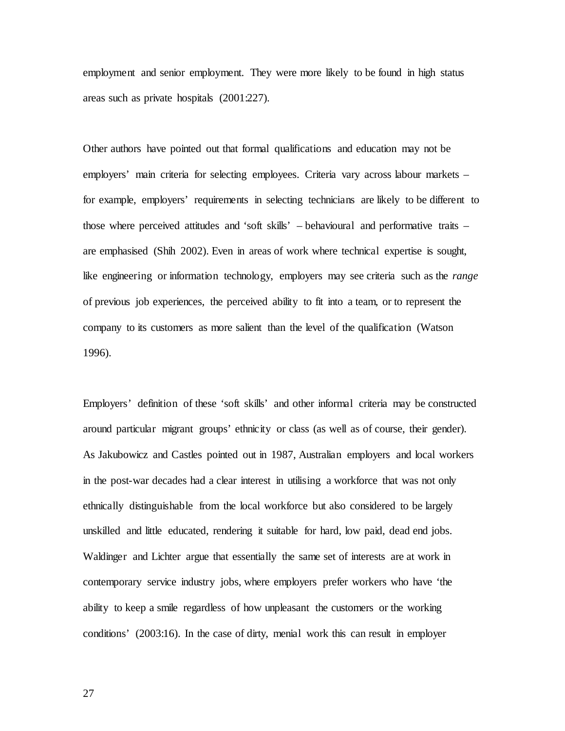employment and senior employment. They were more likely to be found in high status areas such as private hospitals (2001:227).

Other authors have pointed out that formal qualifications and education may not be employers' main criteria for selecting employees. Criteria vary across labour markets – for example, employers' requirements in selecting technicians are likely to be different to those where perceived attitudes and 'soft skills' – behavioural and performative traits – are emphasised (Shih 2002). Even in areas of work where technical expertise is sought, like engineering or information technology, employers may see criteria such as the *range* of previous job experiences, the perceived ability to fit into a team, or to represent the company to its customers as more salient than the level of the qualification (Watson 1996).

Employers' definition of these 'soft skills' and other informal criteria may be constructed around particular migrant groups' ethnicity or class (as well as of course, their gender). As Jakubowicz and Castles pointed out in 1987, Australian employers and local workers in the post-war decades had a clear interest in utilising a workforce that was not only ethnically distinguishable from the local workforce but also considered to be largely unskilled and little educated, rendering it suitable for hard, low paid, dead end jobs. Waldinger and Lichter argue that essentially the same set of interests are at work in contemporary service industry jobs, where employers prefer workers who have 'the ability to keep a smile regardless of how unpleasant the customers or the working conditions' (2003:16). In the case of dirty, menial work this can result in employer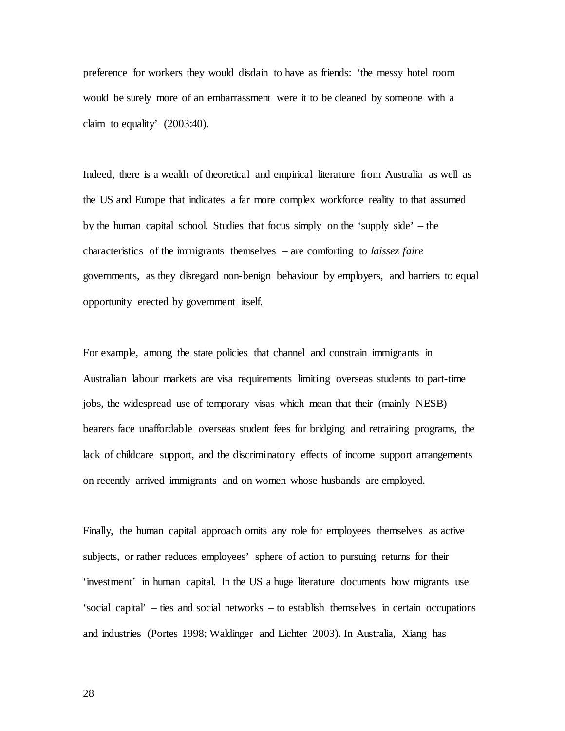preference for workers they would disdain to have as friends: 'the messy hotel room would be surely more of an embarrassment were it to be cleaned by someone with a claim to equality' (2003:40).

Indeed, there is a wealth of theoretical and empirical literature from Australia as well as the US and Europe that indicates a far more complex workforce reality to that assumed by the human capital school. Studies that focus simply on the 'supply side' – the characteristics of the immigrants themselves – are comforting to *laissez faire* governments, as they disregard non-benign behaviour by employers, and barriers to equal opportunity erected by government itself.

For example, among the state policies that channel and constrain immigrants in Australian labour markets are visa requirements limiting overseas students to part-time jobs, the widespread use of temporary visas which mean that their (mainly NESB) bearers face unaffordable overseas student fees for bridging and retraining programs, the lack of childcare support, and the discriminatory effects of income support arrangements on recently arrived immigrants and on women whose husbands are employed.

Finally, the human capital approach omits any role for employees themselves as active subjects, or rather reduces employees' sphere of action to pursuing returns for their 'investment' in human capital. In the US a huge literature documents how migrants use 'social capital' – ties and social networks – to establish themselves in certain occupations and industries (Portes 1998; Waldinger and Lichter 2003). In Australia, Xiang has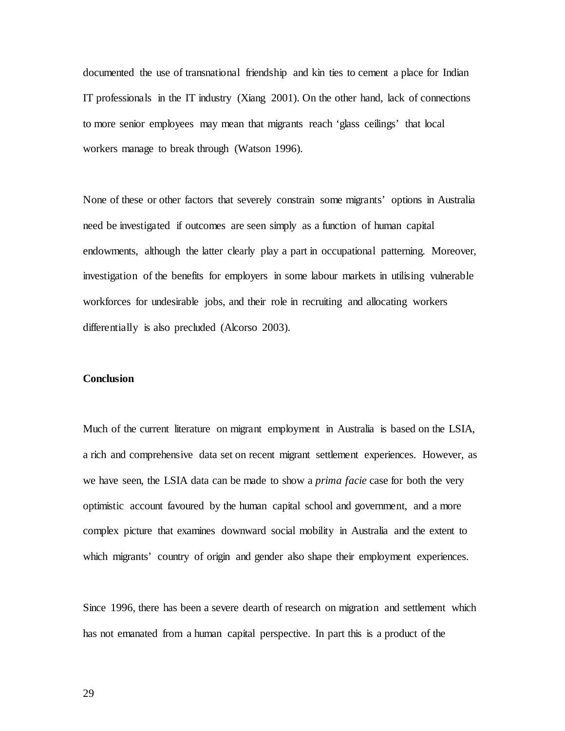documented the use of transnational friendship and kin ties to cement a place for Indian IT professionals in the IT industry (Xiang 2001). On the other hand, lack of connections to more senior employees may mean that migrants reach 'glass ceilings' that local workers manage to break through (Watson 1996).

None of these or other factors that severely constrain some migrants' options in Australia need be investigated if outcomes are seen simply as a function of human capital endowments, although the latter clearly play a part in occupational patterning. Moreover, investigation of the benefits for employers in some labour markets in utilising vulnerable workforces for undesirable jobs, and their role in recruiting and allocating workers differentially is also precluded (Alcorso 2003).

#### **Conclusion**

Much of the current literature on migrant employment in Australia is based on the LSIA, a rich and comprehensive data set on recent migrant settlement experiences. However, as we have seen, the LSIA data can be made to show a *prima facie* case for both the very optimistic account favoured by the human capital school and government, and a more complex picture that examines downward social mobility in Australia and the extent to which migrants' country of origin and gender also shape their employment experiences.

Since 1996, there has been a severe dearth of research on migration and settlement which has not emanated from a human capital perspective. In part this is a product of the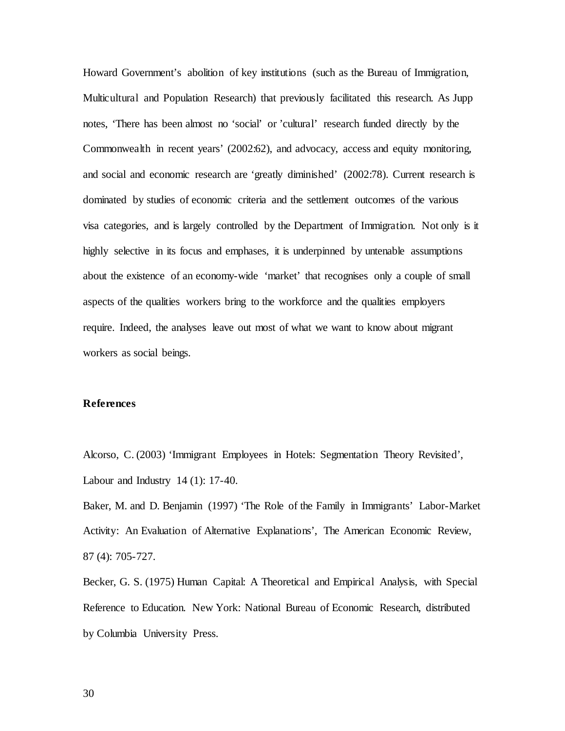Howard Government's abolition of key institutions (such as the Bureau of Immigration, Multicultural and Population Research) that previously facilitated this research. As Jupp notes, 'There has been almost no 'social' or 'cultural' research funded directly by the Commonwealth in recent years' (2002:62), and advocacy, access and equity monitoring, and social and economic research are 'greatly diminished' (2002:78). Current research is dominated by studies of economic criteria and the settlement outcomes of the various visa categories, and is largely controlled by the Department of Immigration. Not only is it highly selective in its focus and emphases, it is underpinned by untenable assumptions about the existence of an economy-wide 'market' that recognises only a couple of small aspects of the qualities workers bring to the workforce and the qualities employers require. Indeed, the analyses leave out most of what we want to know about migrant workers as social beings.

#### **References**

Alcorso, C. (2003) 'Immigrant Employees in Hotels: Segmentation Theory Revisited', Labour and Industry  $14$  (1): 17-40.

Baker, M. and D. Benjamin (1997) 'The Role of the Family in Immigrants' Labor-Market Activity: An Evaluation of Alternative Explanations', The American Economic Review, 87 (4): 705-727.

Becker, G. S. (1975) Human Capital: A Theoretical and Empirical Analysis, with Special Reference to Education. New York: National Bureau of Economic Research, distributed by Columbia University Press.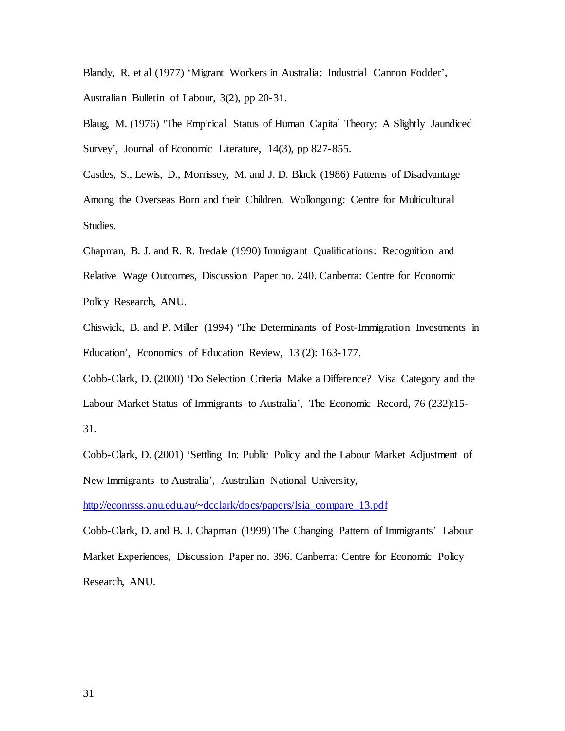Blandy, R. et al (1977) 'Migrant Workers in Australia: Industrial Cannon Fodder', Australian Bulletin of Labour, 3(2), pp 20-31.

Blaug, M. (1976) 'The Empirical Status of Human Capital Theory: A Slightly Jaundiced Survey', Journal of Economic Literature, 14(3), pp 827-855.

Castles, S., Lewis, D., Morrissey, M. and J. D. Black (1986) Patterns of Disadvantage Among the Overseas Born and their Children. Wollongong: Centre for Multicultural Studies.

Chapman, B. J. and R. R. Iredale (1990) Immigrant Qualifications: Recognition and Relative Wage Outcomes, Discussion Paper no. 240. Canberra: Centre for Economic Policy Research, ANU.

Chiswick, B. and P. Miller (1994) 'The Determinants of Post-Immigration Investments in Education', Economics of Education Review, 13 (2): 163-177.

Cobb-Clark, D. (2000) 'Do Selection Criteria Make a Difference? Visa Category and the Labour Market Status of Immigrants to Australia', The Economic Record, 76 (232):15- 31.

Cobb-Clark, D. (2001) 'Settling In: Public Policy and the Labour Market Adjustment of New Immigrants to Australia', Australian National University,

[http://econrsss.anu.edu.au/~dcclark/docs/papers/lsia\\_compare\\_13.pdf](http://econrsss.anu.edu.au/~dcclark/docs/papers/lsia_compare_13.pdf)

Cobb-Clark, D. and B. J. Chapman (1999) The Changing Pattern of Immigrants' Labour Market Experiences, Discussion Paper no. 396. Canberra: Centre for Economic Policy Research, ANU.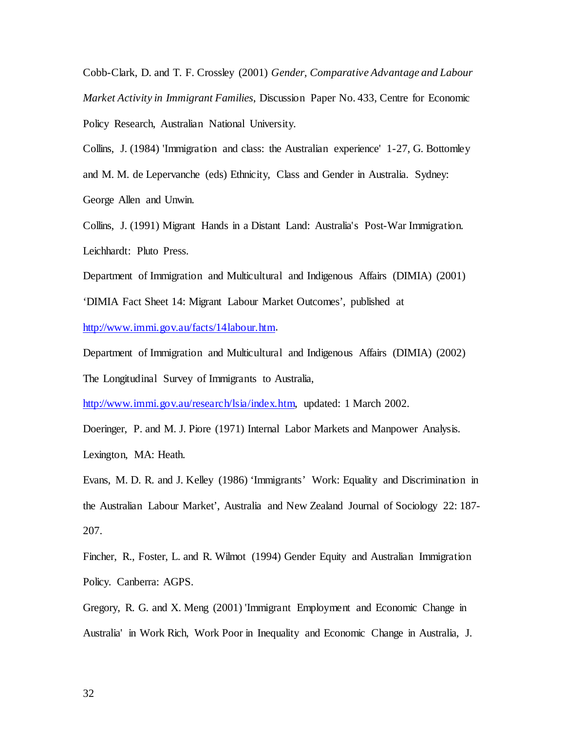Cobb-Clark, D. and T. F. Crossley (2001) *Gender, Comparative Advantage and Labour Market Activity in Immigrant Families*, Discussion Paper No. 433, Centre for Economic Policy Research, Australian National University.

Collins, J. (1984) 'Immigration and class: the Australian experience' 1-27, G. Bottomley and M. M. de Lepervanche (eds) Ethnicity, Class and Gender in Australia. Sydney: George Allen and Unwin.

Collins, J. (1991) Migrant Hands in a Distant Land: Australia's Post-War Immigration. Leichhardt: Pluto Press.

Department of Immigration and Multicultural and Indigenous Affairs (DIMIA) (2001) 'DIMIA Fact Sheet 14: Migrant Labour Market Outcomes', published at [http://www.immi.gov.au/facts/14labour.htm.](http://www.immi.gov.au/facts/14labour.htm)

Department of Immigration and Multicultural and Indigenous Affairs (DIMIA) (2002) The Longitudinal Survey of Immigrants to Australia,

[http://www.immi.gov.au/research/lsia/index.htm,](http://www.immi.gov.au/research/lsia/index.htm) updated: 1 March 2002.

Doeringer, P. and M. J. Piore (1971) Internal Labor Markets and Manpower Analysis.

Lexington, MA: Heath.

Evans, M. D. R. and J. Kelley (1986) 'Immigrants' Work: Equality and Discrimination in the Australian Labour Market', Australia and New Zealand Journal of Sociology 22: 187- 207.

Fincher, R., Foster, L. and R. Wilmot (1994) Gender Equity and Australian Immigration Policy. Canberra: AGPS.

Gregory, R. G. and X. Meng (2001) 'Immigrant Employment and Economic Change in Australia' in Work Rich, Work Poor in Inequality and Economic Change in Australia, J.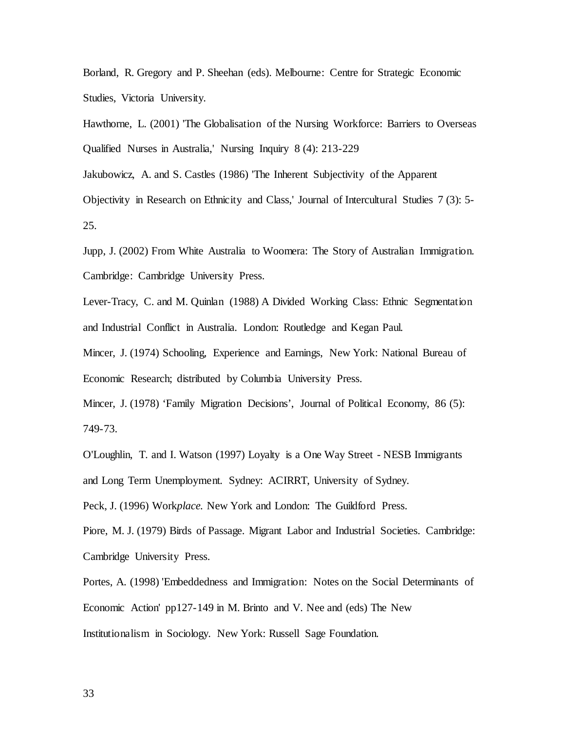Borland, R. Gregory and P. Sheehan (eds). Melbourne: Centre for Strategic Economic Studies, Victoria University.

Hawthorne, L. (2001) 'The Globalisation of the Nursing Workforce: Barriers to Overseas Qualified Nurses in Australia,' Nursing Inquiry 8 (4): 213-229

Jakubowicz, A. and S. Castles (1986) 'The Inherent Subjectivity of the Apparent

Objectivity in Research on Ethnicity and Class,' Journal of Intercultural Studies 7 (3): 5- 25.

Jupp, J. (2002) From White Australia to Woomera: The Story of Australian Immigration. Cambridge: Cambridge University Press.

Lever-Tracy, C. and M. Quinlan (1988) A Divided Working Class: Ethnic Segmentation and Industrial Conflict in Australia. London: Routledge and Kegan Paul.

Mincer, J. (1974) Schooling, Experience and Earnings, New York: National Bureau of Economic Research; distributed by Columbia University Press.

Mincer, J. (1978) 'Family Migration Decisions', Journal of Political Economy, 86 (5): 749-73.

O'Loughlin, T. and I. Watson (1997) Loyalty is a One Way Street - NESB Immigrants and Long Term Unemployment. Sydney: ACIRRT, University of Sydney.

Peck, J. (1996) Work*place.* New York and London: The Guildford Press.

Piore, M. J. (1979) Birds of Passage. Migrant Labor and Industrial Societies. Cambridge: Cambridge University Press.

Portes, A. (1998) 'Embeddedness and Immigration: Notes on the Social Determinants of Economic Action' pp127-149 in M. Brinto and V. Nee and (eds) The New Institutionalism in Sociology. New York: Russell Sage Foundation.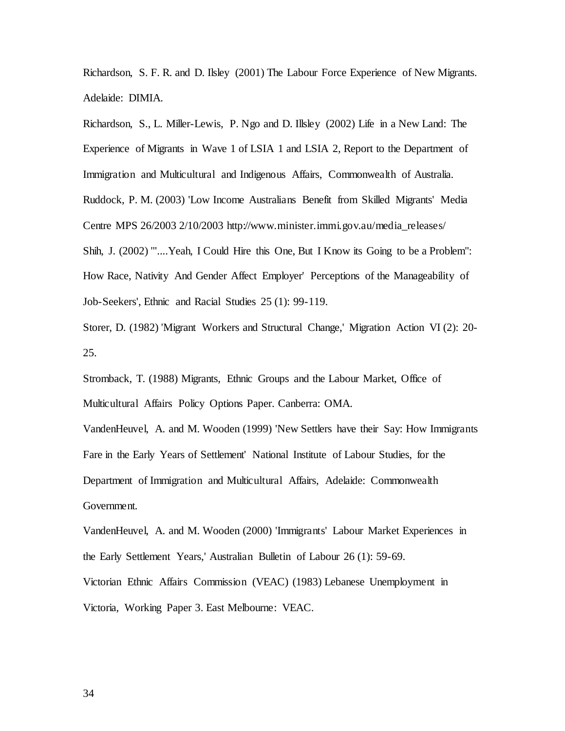Richardson, S. F. R. and D. Ilsley (2001) The Labour Force Experience of New Migrants. Adelaide: DIMIA.

Richardson, S., L. Miller-Lewis, P. Ngo and D. Illsley (2002) Life in a New Land: The Experience of Migrants in Wave 1 of LSIA 1 and LSIA 2, Report to the Department of Immigration and Multicultural and Indigenous Affairs, Commonwealth of Australia. Ruddock, P. M. (2003) 'Low Income Australians Benefit from Skilled Migrants' Media Centre MPS 26/2003 2/10/2003 http://www.minister.immi.gov.au/media\_releases/ Shih, J. (2002) '''....Yeah, I Could Hire this One, But I Know its Going to be a Problem": How Race, Nativity And Gender Affect Employer' Perceptions of the Manageability of Job-Seekers', Ethnic and Racial Studies 25 (1): 99-119.

Storer, D. (1982) 'Migrant Workers and Structural Change,' Migration Action VI (2): 20- 25.

Stromback, T. (1988) Migrants, Ethnic Groups and the Labour Market, Office of Multicultural Affairs Policy Options Paper. Canberra: OMA.

VandenHeuvel, A. and M. Wooden (1999) 'New Settlers have their Say: How Immigrants Fare in the Early Years of Settlement' National Institute of Labour Studies, for the Department of Immigration and Multicultural Affairs, Adelaide: Commonwealth Government.

VandenHeuvel, A. and M. Wooden (2000) 'Immigrants' Labour Market Experiences in the Early Settlement Years,' Australian Bulletin of Labour 26 (1): 59-69. Victorian Ethnic Affairs Commission (VEAC) (1983) Lebanese Unemployment in Victoria, Working Paper 3. East Melbourne: VEAC.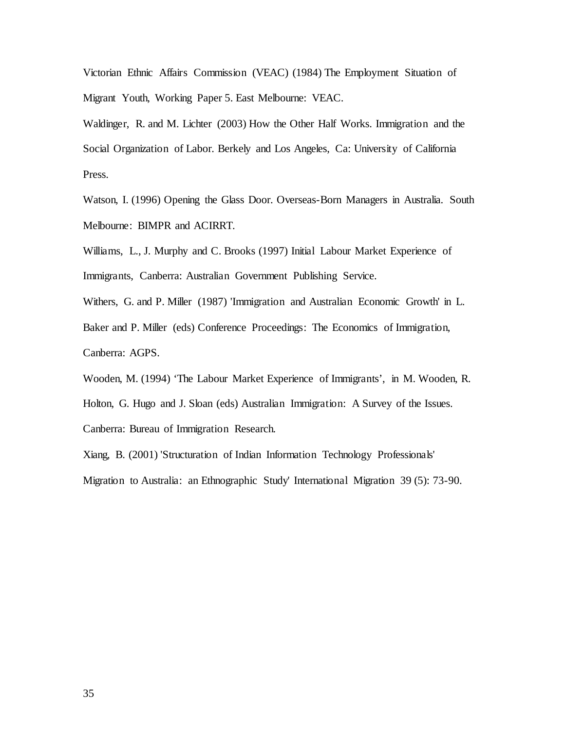Victorian Ethnic Affairs Commission (VEAC) (1984) The Employment Situation of Migrant Youth, Working Paper 5. East Melbourne: VEAC.

Waldinger, R. and M. Lichter (2003) How the Other Half Works. Immigration and the Social Organization of Labor. Berkely and Los Angeles, Ca: University of California Press.

Watson, I. (1996) Opening the Glass Door. Overseas-Born Managers in Australia. South Melbourne: BIMPR and ACIRRT.

Williams, L., J. Murphy and C. Brooks (1997) Initial Labour Market Experience of Immigrants, Canberra: Australian Government Publishing Service.

Withers, G. and P. Miller (1987) 'Immigration and Australian Economic Growth' in L. Baker and P. Miller (eds) Conference Proceedings: The Economics of Immigration, Canberra: AGPS.

Wooden, M. (1994) 'The Labour Market Experience of Immigrants', in M. Wooden, R. Holton, G. Hugo and J. Sloan (eds) Australian Immigration: A Survey of the Issues. Canberra: Bureau of Immigration Research.

Xiang, B. (2001) 'Structuration of Indian Information Technology Professionals' Migration to Australia: an Ethnographic Study' International Migration 39 (5): 73-90.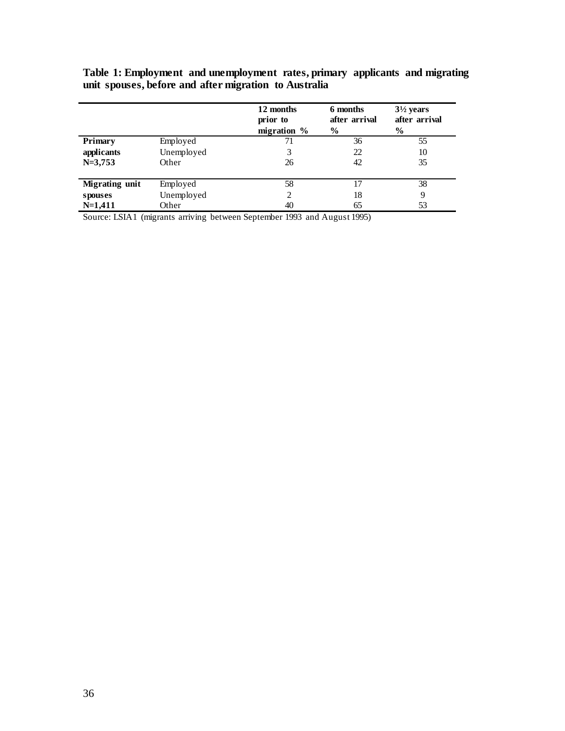|                |            | 12 months<br>prior to | 6 months<br>after arrival | $3\frac{1}{2}$ years<br>after arrival |
|----------------|------------|-----------------------|---------------------------|---------------------------------------|
|                |            | migration %           | $\frac{6}{9}$             | $\frac{6}{9}$                         |
| Primary        | Employed   | 71                    | 36                        | 55                                    |
| applicants     | Unemployed | 3                     | 22                        | 10                                    |
| $N=3,753$      | Other      | 26                    | 42                        | 35                                    |
|                |            |                       |                           |                                       |
| Migrating unit | Employed   | 58                    | 17                        | 38                                    |
| spouses        | Unemployed | 2                     | 18                        | 9                                     |
| $N=1,411$      | Other      | 40                    | 65                        | 53                                    |

**Table 1: Employment and unemployment rates, primary applicants and migrating unit spouses, before and after migration to Australia** 

Source: LSIA1 (migrants arriving between September 1993 and August 1995)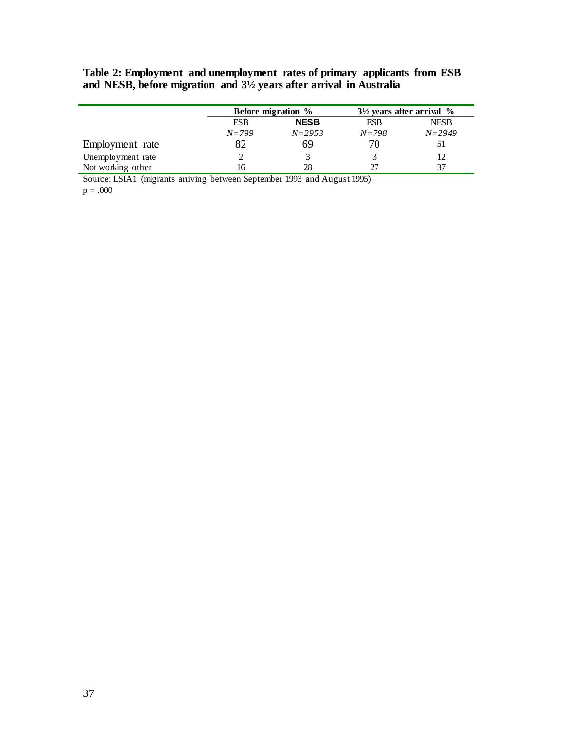**Table 2: Employment and unemployment rates of primary applicants from ESB and NESB, before migration and 3½ years after arrival in Australia**

|                   | Before migration %        |            | $3\frac{1}{2}$ years after arrival % |             |
|-------------------|---------------------------|------------|--------------------------------------|-------------|
|                   | <b>NESB</b><br><b>ESB</b> |            | <b>ESB</b>                           | <b>NESB</b> |
|                   | $N = 799$                 | $N = 2953$ | $N = 798$                            | $N = 2949$  |
| Employment rate   |                           | 69         |                                      | 51          |
| Unemployment rate |                           |            |                                      | 12          |
| Not working other | 16                        | 28         | 27                                   | 37          |

Source: LSIA1 (migrants arriving between September 1993 and August 1995)  $p = .000$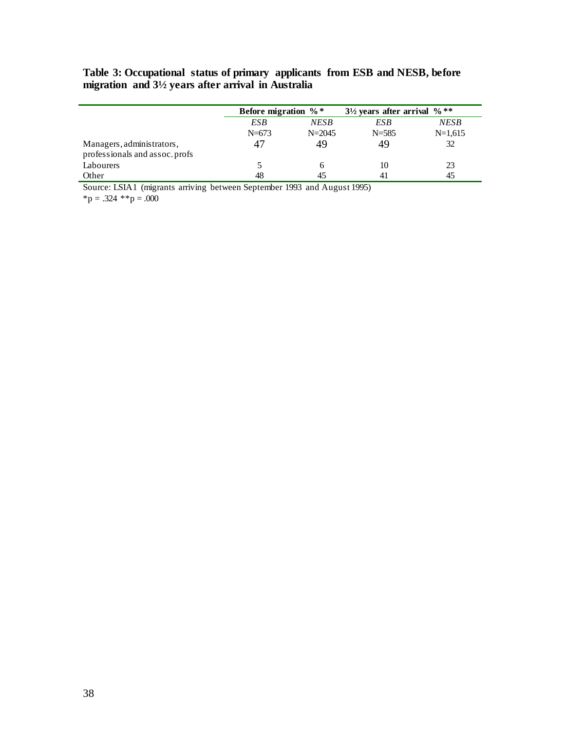## **Table 3: Occupational status of primary applicants from ESB and NESB, before migration and 3½ years after arrival in Australia**

|                                                             | Before migration $\%$ * |            | $3\frac{1}{2}$ years after arrival % ** |           |
|-------------------------------------------------------------|-------------------------|------------|-----------------------------------------|-----------|
|                                                             | ESB                     | NESB       | ESB                                     | NESB      |
|                                                             | $N = 673$               | $N = 2045$ | $N = 585$                               | $N=1,615$ |
| Managers, administrators,<br>professionals and assoc. profs | 47                      | 49         | 49                                      | 32        |
| Labourers                                                   |                         |            | 10                                      | 23        |
| Other                                                       | 48                      |            | 41                                      |           |

Source: LSIA1 (migrants arriving between September 1993 and August 1995)

 ${}^{\ast}p = .324$   ${}^{\ast}{}^{\ast}p = .000$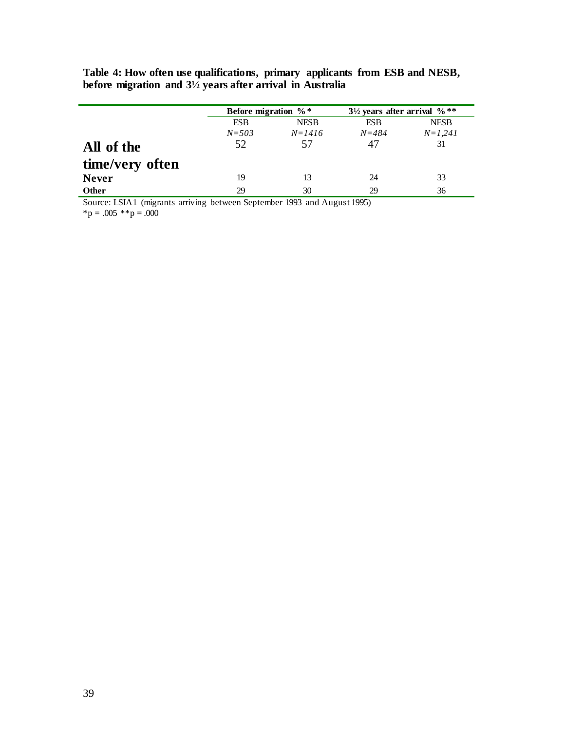|                 | Before migration $\%$ *   |            | $3\frac{1}{2}$ years after arrival %** |             |
|-----------------|---------------------------|------------|----------------------------------------|-------------|
|                 | <b>ESB</b><br><b>NESB</b> |            | <b>ESB</b>                             | <b>NESB</b> |
|                 | $N = 503$                 | $N = 1416$ | $N = 484$                              | $N=1,241$   |
| All of the      | 52                        | 57         | 47                                     | 31          |
| time/very often |                           |            |                                        |             |
| <b>Never</b>    | 19                        | 13         | 24                                     | 33          |
| <b>Other</b>    | 29                        | 30         | 29                                     | 36          |

**Table 4: How often use qualifications, primary applicants from ESB and NESB, before migration and 3½ years after arrival in Australia**

Source: LSIA1 (migrants arriving between September 1993 and August 1995)  ${}^*p = .005$   ${}^*p = .000$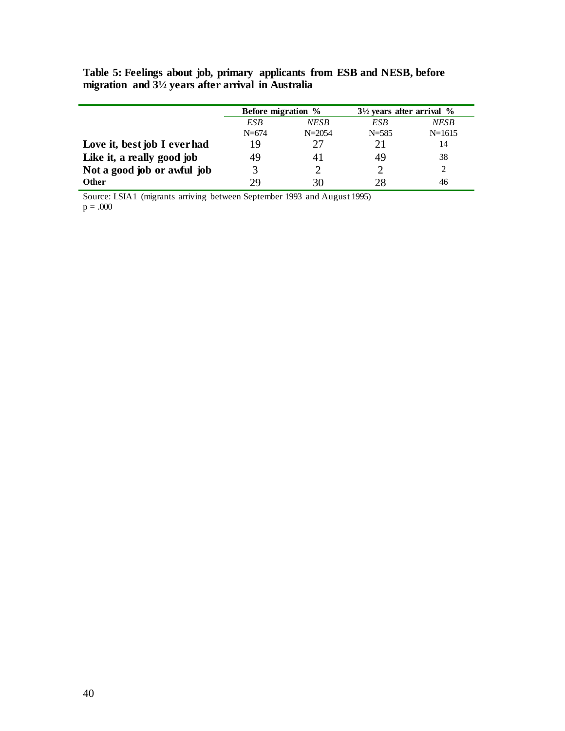|                              | Before migration % |            | $3\frac{1}{2}$ years after arrival % |             |
|------------------------------|--------------------|------------|--------------------------------------|-------------|
|                              | <b>NESB</b><br>ESB |            | ESB                                  | <b>NESB</b> |
|                              | $N = 674$          | $N = 2054$ | $N = 585$                            | $N=1615$    |
| Love it, best job I ever had | 19                 | 27         | 21                                   | 14          |
| Like it, a really good job   | 49                 |            | 49                                   | 38          |
| Not a good job or awful job  |                    |            |                                      |             |
| <b>Other</b>                 | 79                 | 30         | 28                                   | 46          |

**Table 5: Feelings about job, primary applicants from ESB and NESB, before migration and 3½ years after arrival in Australia**

Source: LSIA1 (migrants arriving between September 1993 and August 1995)  $p = .000$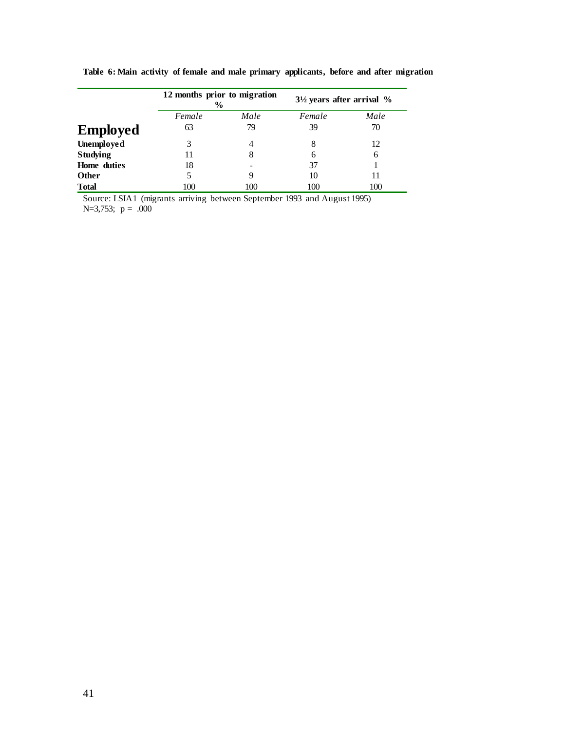|                 | 12 months prior to migration<br>$\%$ |      | $3\frac{1}{2}$ years after arrival % |      |
|-----------------|--------------------------------------|------|--------------------------------------|------|
|                 | Female                               | Male | Female                               | Male |
| <b>Employed</b> | 63                                   | 79   | 39                                   | 70   |
| Unemployed      |                                      |      |                                      | 12   |
| <b>Studying</b> |                                      | 8    | 6                                    | 6    |
| Home duties     | 18                                   |      | 37                                   |      |
| <b>Other</b>    |                                      |      | 10                                   | 11   |
| <b>Total</b>    | 100                                  | 100  | 100                                  | 100  |

**Table 6: Main activity of female and male primary applicants, before and after migration** 

Source: LSIA1 (migrants arriving between September 1993 and August 1995) N=3,753;  $p = .000$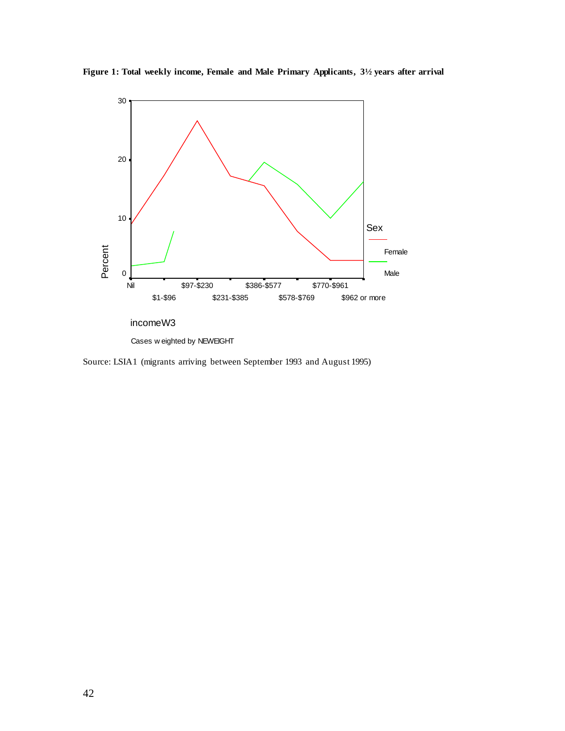

**Figure 1: Total weekly income, Female and Male Primary Applicants, 3½ years after arrival**

Cases w eighted by NEWEIGHT

Source: LSIA1 (migrants arriving between September 1993 and August 1995)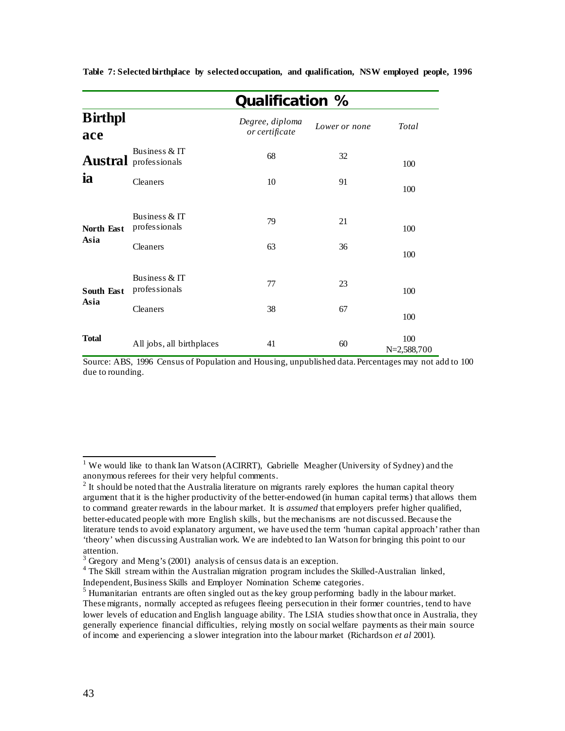|                           |                                               | Qualification %                   |               |                      |  |  |
|---------------------------|-----------------------------------------------|-----------------------------------|---------------|----------------------|--|--|
| <b>Birthpl</b><br>ace     |                                               | Degree, diploma<br>or certificate | Lower or none | Total                |  |  |
|                           | Business & IT<br><b>Austral</b> professionals | 68                                | 32            | 100                  |  |  |
| ia                        | Cleaners                                      | 10                                | 91            | 100                  |  |  |
| North East<br>Asia        | Business & IT<br>professionals                | 79                                | 21            | 100                  |  |  |
|                           | Cleaners                                      | 63                                | 36            | 100                  |  |  |
| <b>South East</b><br>Asia | Business & IT<br>professionals                | 77                                | 23            | 100                  |  |  |
|                           | Cleaners                                      | 38                                | 67            | 100                  |  |  |
| <b>Total</b>              | All jobs, all birthplaces                     | 41                                | 60            | 100<br>$N=2,588,700$ |  |  |

**Table 7: Selected birthplace by selected occupation, and qualification, NSW employed people, 1996**

Source: ABS, 1996 Census of Population and Housing, unpublished data. Percentages may not add to 100 due to rounding.

<sup>1</sup> We would like to thank Ian Watson (ACIRRT), Gabrielle Meagher (University of Sydney) and the anonymous referees for their very helpful comments.

 $<sup>2</sup>$  It should be noted that the Australia literature on migrants rarely explores the human capital theory</sup> argument that it is the higher productivity of the better-endowed (in human capital terms) that allows them to command greater rewards in the labour market. It is *assumed* that employers prefer higher qualified, better-educated people with more English skills, but the mechanisms are not discussed. Because the literature tends to avoid explanatory argument, we have used the term 'human capital approach' rather than 'theory' when discussing Australian work. We are indebted to Ian Watson for bringing this point to our attention.<br><sup>3</sup> Gregory and Meng's (2001) analysis of census data is an exception.

<sup>&</sup>lt;sup>4</sup> The Skill stream within the Australian migration program includes the Skilled-Australian linked, Independent, Business Skills and Employer Nomination Scheme categories.

<sup>&</sup>lt;sup>5</sup> Humanitarian entrants are often singled out as the key group performing badly in the labour market. These migrants, normally accepted as refugees fleeing persecution in their former countries, tend to have lower levels of education and English language ability. The LSIA studies show that once in Australia, they generally experience financial difficulties, relying mostly on social welfare payments as their main source of income and experiencing a slower integration into the labour market (Richardson *et al* 2001).